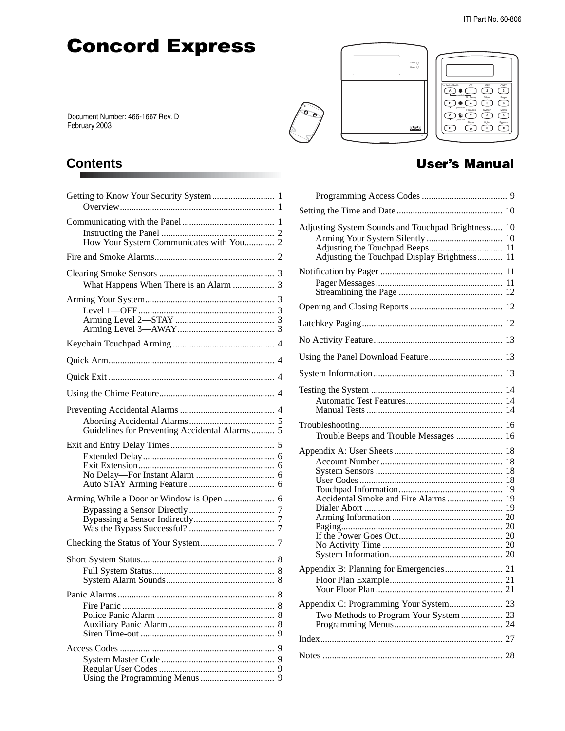# **Concord Express**

Document Number: 466-1667 Rev. D February 2003

## **Contents**

| Getting to Know Your Security System 1        |    |
|-----------------------------------------------|----|
| How Your System Communicates with You 2       |    |
|                                               |    |
| What Happens When There is an Alarm  3        |    |
|                                               |    |
|                                               |    |
|                                               |    |
|                                               |    |
|                                               |    |
| Guidelines for Preventing Accidental Alarms 5 |    |
|                                               |    |
| Arming While a Door or Window is Open  6      |    |
|                                               |    |
|                                               |    |
|                                               |    |
|                                               | -9 |
|                                               |    |



## r's Manual

| Adjusting System Sounds and Touchpad Brightness 10<br>Adjusting the Touchpad Display Brightness 11 | 10       |
|----------------------------------------------------------------------------------------------------|----------|
|                                                                                                    | 11       |
|                                                                                                    |          |
|                                                                                                    | 12       |
|                                                                                                    | 13       |
|                                                                                                    |          |
|                                                                                                    | 13       |
|                                                                                                    | 14<br>14 |
| Trouble Beeps and Trouble Messages                                                                 | 16       |
| Accidental Smoke and Fire Alarms  19                                                               |          |
|                                                                                                    |          |
| Appendix C: Programming Your System 23<br>Two Methods to Program Your System  23                   |          |
|                                                                                                    |          |
|                                                                                                    |          |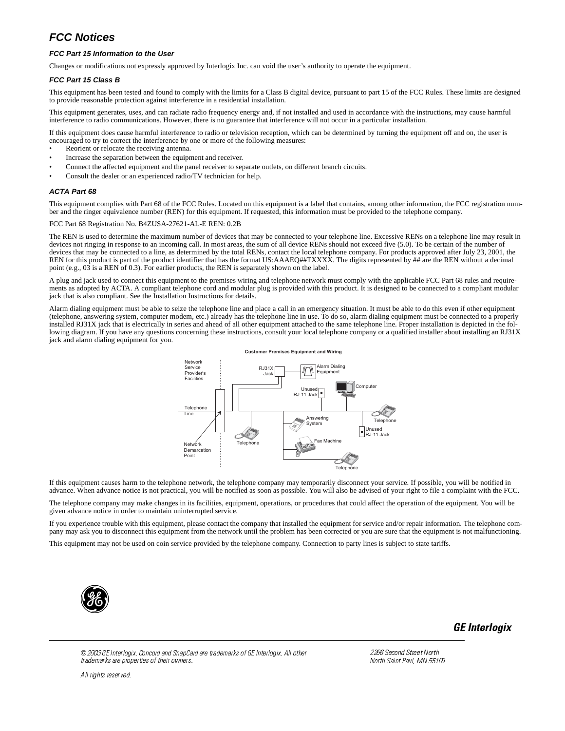### **FCC Notices**

#### **FCC Part 15 Information to the User**

Changes or modifications not expressly approved by Interlogix Inc. can void the user's authority to operate the equipment.

#### **FCC Part 15 Class B**

This equipment has been tested and found to comply with the limits for a Class B digital device, pursuant to part 15 of the FCC Rules. These limits are designed to provide reasonable protection against interference in a residential installation.

This equipment generates, uses, and can radiate radio frequency energy and, if not installed and used in accordance with the instructions, may cause harmful interference to radio communications. However, there is no guarantee that interference will not occur in a particular installation.

If this equipment does cause harmful interference to radio or television reception, which can be determined by turning the equipment off and on, the user is encouraged to try to correct the interference by one or more of the following measures:

- Reorient or relocate the receiving antenna.
- Increase the separation between the equipment and receiver.
- Connect the affected equipment and the panel receiver to separate outlets, on different branch circuits.
- Consult the dealer or an experienced radio/TV technician for help.

#### **ACTA Part 68**

This equipment complies with Part 68 of the FCC Rules. Located on this equipment is a label that contains, among other information, the FCC registration number and the ringer equivalence number (REN) for this equipment. If requested, this information must be provided to the telephone company.

#### FCC Part 68 Registration No. B4ZUSA-27621-AL-E REN: 0.2B

The REN is used to determine the maximum number of devices that may be connected to your telephone line. Excessive RENs on a telephone line may result in devices not ringing in response to an incoming call. In most areas, the sum of all device RENs should not exceed five (5.0). To be certain of the number of devices that may be connected to a line, as determined by the total RENs, contact the local telephone company. For products approved after July 23, 2001, the REN for this product is part of the product identifier that has the format US:AAAEQ##TXXXX. The digits represented by ## are the REN without a decimal point (e.g., 03 is a REN of 0.3). For earlier products, the REN is separately shown on the label.

A plug and jack used to connect this equipment to the premises wiring and telephone network must comply with the applicable FCC Part 68 rules and requirements as adopted by ACTA. A compliant telephone cord and modular plug is provided with this product. It is designed to be connected to a compliant modular jack that is also compliant. See the Installation Instructions for details.

Alarm dialing equipment must be able to seize the telephone line and place a call in an emergency situation. It must be able to do this even if other equipment (telephone, answering system, computer modem, etc.) already has the telephone line in use. To do so, alarm dialing equipment must be connected to a properly installed RJ31X jack that is electrically in series and ahead of all other equipment attached to the same telephone line. Proper installation is depicted in the following diagram. If you have any questions concerning these instructions, consult your local telephone company or a qualified installer about installing an RJ31X jack and alarm dialing equipment for you.



If this equipment causes harm to the telephone network, the telephone company may temporarily disconnect your service. If possible, you will be notified in advance. When advance notice is not practical, you will be notified as soon as possible. You will also be advised of your right to file a complaint with the FCC.

The telephone company may make changes in its facilities, equipment, operations, or procedures that could affect the operation of the equipment. You will be given advance notice in order to maintain uninterrupted service.

If you experience trouble with this equipment, please contact the company that installed the equipment for service and/or repair information. The telephone company may ask you to disconnect this equipment from the network until the problem has been corrected or you are sure that the equipment is not malfunctioning.

This equipment may not be used on coin service provided by the telephone company. Connection to party lines is subject to state tariffs.



GE Interlogix

© 2003 GE Interlogix. Concord and SnapCard are trademarks of GE Interlogix. All other trademarks are properties of their owners.

All rights reserved.

2266 Second Street North North Saint Paul, MN 55109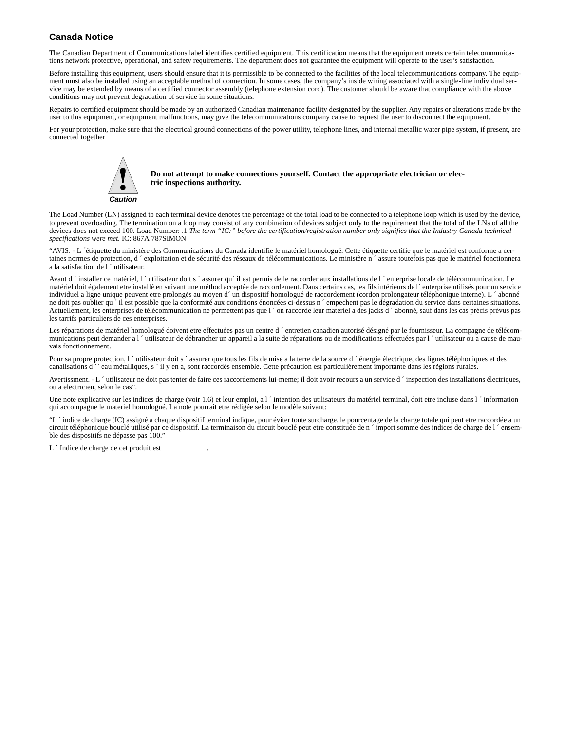#### **Canada Notice**

The Canadian Department of Communications label identifies certified equipment. This certification means that the equipment meets certain telecommunications network protective, operational, and safety requirements. The department does not guarantee the equipment will operate to the user's satisfaction.

Before installing this equipment, users should ensure that it is permissible to be connected to the facilities of the local telecommunications company. The equipment must also be installed using an acceptable method of connection. In some cases, the company's inside wiring associated with a single-line individual service may be extended by means of a certified connector assembly (telephone extension cord). The customer should be aware that compliance with the above conditions may not prevent degradation of service in some situations.

Repairs to certified equipment should be made by an authorized Canadian maintenance facility designated by the supplier. Any repairs or alterations made by the user to this equipment, or equipment malfunctions, may give the telecommunications company cause to request the user to disconnect the equipment.

For your protection, make sure that the electrical ground connections of the power utility, telephone lines, and internal metallic water pipe system, if present, are connected together



! **Do not attempt to make connections yourself. Contact the appropriate electrician or electric inspections authority.**

The Load Number (LN) assigned to each terminal device denotes the percentage of the total load to be connected to a telephone loop which is used by the device, to prevent overloading. The termination on a loop may consist of any combination of devices subject only to the requirement that the total of the LNs of all the devices does not exceed 100. Load Number: .1 *The term "IC:" before the certification/registration number only signifies that the Industry Canada technical specifications were met.* IC: 867A 787SIMON

"AVIS: - L ´étiquette du ministère des Communications du Canada identifie le matériel homologué. Cette étiquette certifie que le matériel est conforme a certaines normes de protection, d ´ exploitation et de sécurité des réseaux de télécommunications. Le ministère n ´ assure toutefois pas que le matériel fonctionnera a la satisfaction de l ´ utilisateur.

Avant d ´ installer ce matériel, l ´utilisateur doit s ´ assurer qu´ il est permis de le raccorder aux installations de l ´ enterprise locale de télécommunication. Le matériel doit également etre installé en suivant une méthod acceptée de raccordement. Dans certains cas, les fils intérieurs de l´ enterprise utilisés pour un service individuel a ligne unique peuvent etre prolongés au moyen d´ un dispositif homologué de raccordement (cordon prolongateur téléphonique interne). L ´ abonné ne doit pas oublier qu<sup>2</sup> il est possible que la conformité aux conditions énoncées ci-dessus n <sup>2</sup> empechent pas le dégradation du service dans certaines situations. Actuellement, les enterprises de télécommunication ne permettent pas que l ´ on raccorde leur matériel a des jacks d ´ abonné, sauf dans les cas précis prévus pas les tarrifs particuliers de ces enterprises.

Les réparations de matériel homologué doivent etre effectuées pas un centre d'entretien canadien autorisé désigné par le fournisseur. La compagne de télécommunications peut demander a l <sup>*'*</sup> utilisateur de débrancher un appareil a la suite de réparations ou de modifications effectuées par l <sup>'</sup> utilisateur ou a cause de mauvais fonctionnement.

Pour sa propre protection, l ´utilisateur doit s ´assurer que tous les fils de mise a la terre de la source d ´énergie électrique, des lignes téléphoniques et des canalisations d ´´ eau métalliques, s ´ il y en a, sont raccordés ensemble. Cette précaution est particulièrement importante dans les régions rurales.

Avertissment. - L 'utilisateur ne doit pas tenter de faire ces raccordements lui-meme; il doit avoir recours a un service d 'inspection des installations électriques, ou a electricien, selon le cas".

Une note explicative sur les indices de charge (voir 1.6) et leur emploi, a l  $\dot{\ }$  intention des utilisateurs du matériel terminal, doit etre incluse dans l  $\dot{\ }$  information qui accompagne le materiel homologué. La note pourrait etre rédigée selon le modèle suivant:

"L ´ indice de charge (IC) assigné a chaque dispositif terminal indique, pour éviter toute surcharge, le pourcentage de la charge totale qui peut etre raccordée a un circuit téléphonique bouclé utilisé par ce dispositif. La terminaison du circuit bouclé peut etre constituée de n ´ import somme des indices de charge de l ´ ensemble des dispositifs ne dépasse pas 100."

L ´ Indice de charge de cet produit est \_\_\_\_\_\_\_\_\_\_\_\_.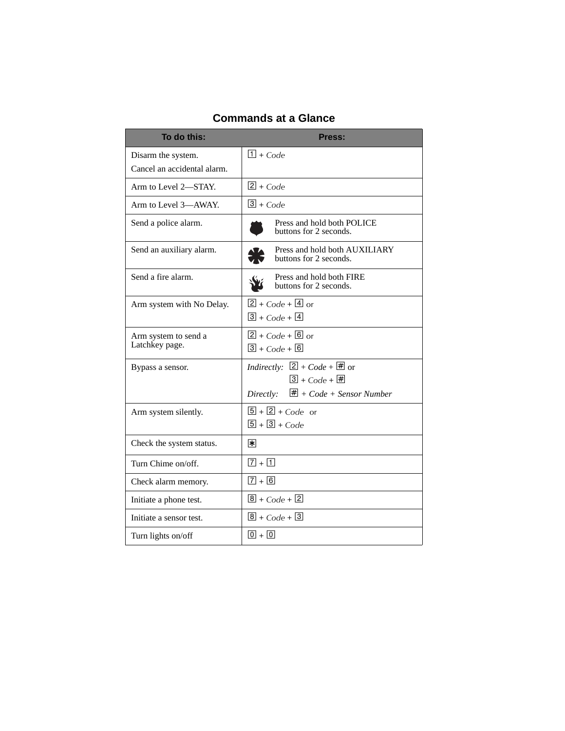| To do this:                                       | Press:                                                                                                                                         |
|---------------------------------------------------|------------------------------------------------------------------------------------------------------------------------------------------------|
| Disarm the system.<br>Cancel an accidental alarm. | $\Box$ + Code                                                                                                                                  |
| Arm to Level 2-STAY.                              | $2 + Code$                                                                                                                                     |
| Arm to Level 3-AWAY.                              | $3 + Code$                                                                                                                                     |
| Send a police alarm.                              | Press and hold both POLICE<br>buttons for 2 seconds.                                                                                           |
| Send an auxiliary alarm.                          | Press and hold both AUXILIARY<br>buttons for 2 seconds.                                                                                        |
| Send a fire alarm.                                | Press and hold both FIRE<br>buttons for 2 seconds.                                                                                             |
| Arm system with No Delay.                         | $2 + Code + 4$ or<br>$\boxed{3}$ + Code + $\boxed{4}$                                                                                          |
| Arm system to send a<br>Latchkey page.            | $2 + Code + 6$ or<br>$\boxed{3}$ + Code + $\boxed{6}$                                                                                          |
| Bypass a sensor.                                  | <i>Indirectly:</i> $[2] + Code + \overline{\#}$ or<br>$3 + Code + \overline{2}$<br>$\overline{\mathbf{H}}$ + Code + Sensor Number<br>Directly: |
| Arm system silently.                              | $\boxed{5}$ + $\boxed{2}$ + Code or<br>$\boxed{5} + \boxed{3} + C_0 d$ e                                                                       |
| Check the system status.                          | *∣                                                                                                                                             |
| Turn Chime on/off.                                | $\sqrt{7} + \sqrt{1}$                                                                                                                          |
| Check alarm memory.                               | $\sqrt{7} + \sqrt{6}$                                                                                                                          |
| Initiate a phone test.                            | $\boxed{8}$ + Code + $\boxed{2}$                                                                                                               |
| Initiate a sensor test.                           | $\sqrt{8}$ + Code + $\sqrt{3}$                                                                                                                 |
| Turn lights on/off                                | $\overline{0}$ + $\overline{0}$                                                                                                                |

## **Commands at a Glance**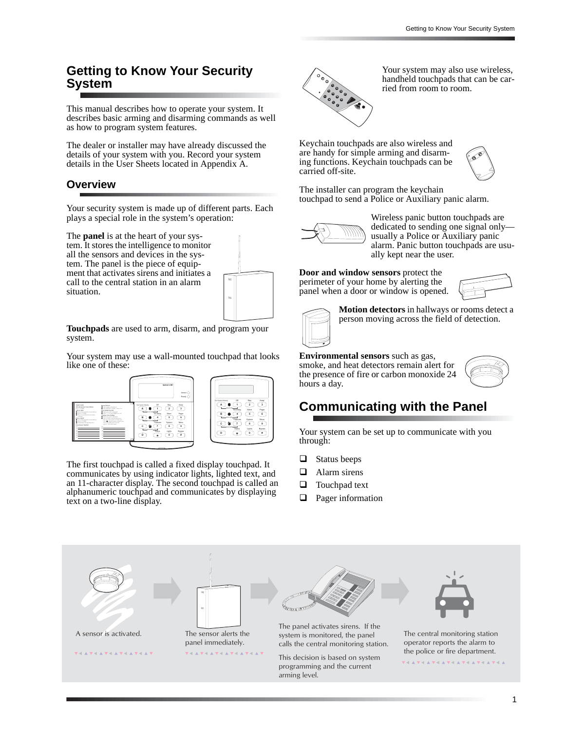## **Getting to Know Your Security System**

This manual describes how to operate your system. It describes basic arming and disarming commands as well as how to program system features.

The dealer or installer may have already discussed the details of your system with you. Record your system details in the User Sheets located in Appendix A.

### **Overview**

Your security system is made up of different parts. Each plays a special role in the system's operation:

The **panel** is at the heart of your sys-

tem. It stores the intelligence to monitor all the sensors and devices in the system. The panel is the piece of equipment that activates sirens and initiates a call to the central station in an alarm situation.



**Touchpads** are used to arm, disarm, and program your system.

Your system may use a wall-mounted touchpad that looks like one of these:



The first touchpad is called a fixed display touchpad. It communicates by using indicator lights, lighted text, and an 11-character display. The second touchpad is called an alphanumeric touchpad and communicates by displaying text on a two-line display.



Your system may also use wireless, handheld touchpads that can be carried from room to room.

Keychain touchpads are also wireless and are handy for simple arming and disarming functions. Keychain touchpads can be carried off-site.



The installer can program the keychain touchpad to send a Police or Auxiliary panic alarm.



Wireless panic button touchpads are dedicated to sending one signal only usually a Police or Auxiliary panic alarm. Panic button touchpads are usually kept near the user.

**Door and window sensors** protect the perimeter of your home by alerting the panel when a door or window is opened.



**Motion detectors** in hallways or rooms detect a person moving across the field of detection.

### **Environmental sensors** such as gas,

smoke, and heat detectors remain alert for the presence of fire or carbon monoxide 24 hours a day.



## **Communicating with the Panel**

Your system can be set up to communicate with you through:

- $\Box$  Status beeps
- Alarm sirens
- $\Box$  Touchpad text
- **Q** Pager information

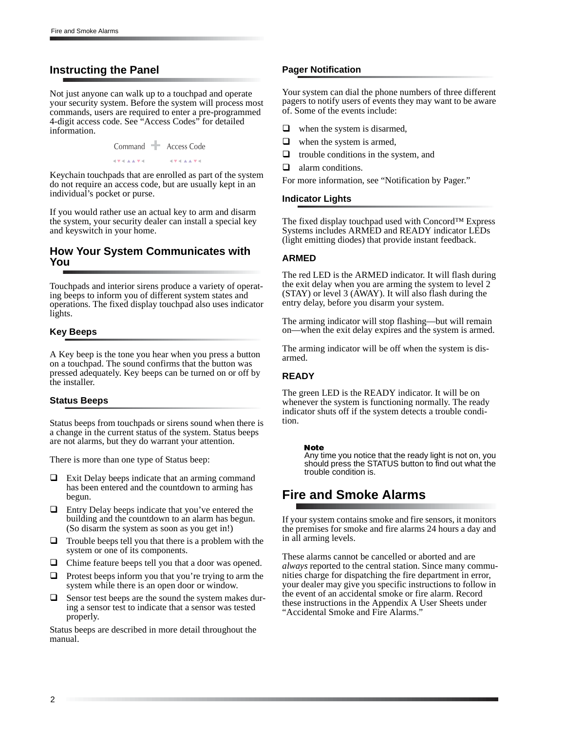### **Instructing the Panel**

Not just anyone can walk up to a touchpad and operate your security system. Before the system will process most commands, users are required to enter a pre-programmed 4-digit access code. See "Access Codes" for detailed information.

> Command T Access Code *AVALLA* **STARKTO**

Keychain touchpads that are enrolled as part of the system do not require an access code, but are usually kept in an individual's pocket or purse.

If you would rather use an actual key to arm and disarm the system, your security dealer can install a special key and keyswitch in your home.

#### **How Your System Communicates with You**

Touchpads and interior sirens produce a variety of operating beeps to inform you of different system states and operations. The fixed display touchpad also uses indicator lights.

#### **Key Beeps**

A Key beep is the tone you hear when you press a button on a touchpad. The sound confirms that the button was pressed adequately. Key beeps can be turned on or off by the installer.

#### **Status Beeps**

Status beeps from touchpads or sirens sound when there is a change in the current status of the system. Status beeps are not alarms, but they do warrant your attention.

There is more than one type of Status beep:

- $\Box$  Exit Delay beeps indicate that an arming command has been entered and the countdown to arming has begun.
- $\Box$  Entry Delay beeps indicate that you've entered the building and the countdown to an alarm has begun. (So disarm the system as soon as you get in!)
- $\Box$  Trouble beeps tell you that there is a problem with the system or one of its components.
- $\Box$  Chime feature beeps tell you that a door was opened.
- $\Box$  Protest beeps inform you that you're trying to arm the system while there is an open door or window.
- Sensor test beeps are the sound the system makes during a sensor test to indicate that a sensor was tested properly.

Status beeps are described in more detail throughout the manual.

#### **Pager Notification**

Your system can dial the phone numbers of three different pagers to notify users of events they may want to be aware of. Some of the events include:

- $\Box$  when the system is disarmed,
- $\Box$  when the system is armed,
- $\Box$  trouble conditions in the system, and
- alarm conditions.
- For more information, see "Notification by Pager."

#### **Indicator Lights**

The fixed display touchpad used with Concord™ Express Systems includes ARMED and READY indicator LEDs (light emitting diodes) that provide instant feedback.

#### **ARMED**

The red LED is the ARMED indicator. It will flash during the exit delay when you are arming the system to level 2 (STAY) or level 3 (AWAY). It will also flash during the entry delay, before you disarm your system.

The arming indicator will stop flashing—but will remain on—when the exit delay expires and the system is armed.

The arming indicator will be off when the system is disarmed.

#### **READY**

The green LED is the READY indicator. It will be on whenever the system is functioning normally. The ready indicator shuts off if the system detects a trouble condition.

#### Note

Any time you notice that the ready light is not on, you should press the STATUS button to find out what the trouble condition is.

## **Fire and Smoke Alarms**

If your system contains smoke and fire sensors, it monitors the premises for smoke and fire alarms 24 hours a day and in all arming levels.

These alarms cannot be cancelled or aborted and are *always* reported to the central station. Since many communities charge for dispatching the fire department in error, your dealer may give you specific instructions to follow in the event of an accidental smoke or fire alarm. Record these instructions in the Appendix A User Sheets under "Accidental Smoke and Fire Alarms."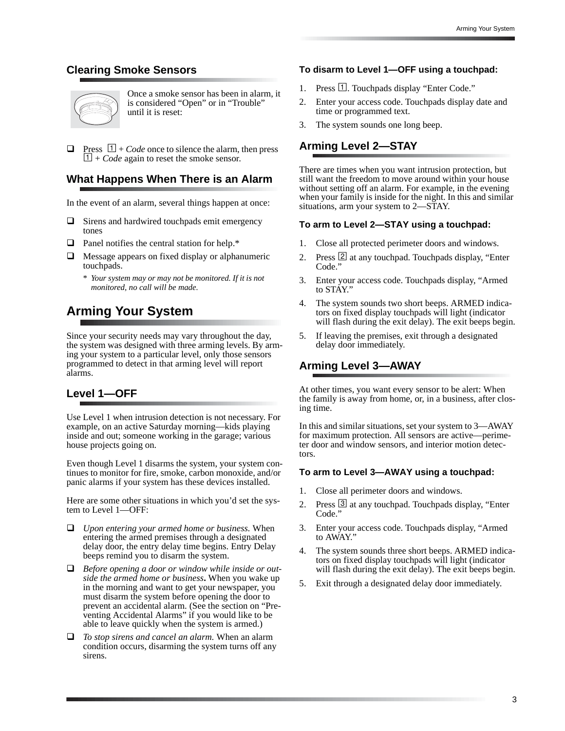## **Clearing Smoke Sensors**



Once a smoke sensor has been in alarm, it is considered "Open" or in "Trouble" until it is reset:

Press  $\lfloor 1 \rfloor$  + *Code* once to silence the alarm, then press  $\boxed{1}$  + *Code* again to reset the smoke sensor.

### **What Happens When There is an Alarm**

In the event of an alarm, several things happen at once:

- $\Box$  Sirens and hardwired touchpads emit emergency tones
- $\Box$  Panel notifies the central station for help.\*
- $\Box$  Message appears on fixed display or alphanumeric touchpads.
	- *\* Your system may or may not be monitored. If it is not monitored, no call will be made.*

## **Arming Your System**

Since your security needs may vary throughout the day, the system was designed with three arming levels. By arming your system to a particular level, only those sensors programmed to detect in that arming level will report alarms.

### **Level 1—OFF**

Use Level 1 when intrusion detection is not necessary. For example, on an active Saturday morning—kids playing inside and out; someone working in the garage; various house projects going on.

Even though Level 1 disarms the system, your system continues to monitor for fire, smoke, carbon monoxide, and/or panic alarms if your system has these devices installed.

Here are some other situations in which you'd set the system to Level 1—OFF:

- *Upon entering your armed home or business.* When entering the armed premises through a designated delay door, the entry delay time begins. Entry Delay beeps remind you to disarm the system.
- *Before opening a door or window while inside or outside the armed home or business***.** When you wake up in the morning and want to get your newspaper, you must disarm the system before opening the door to prevent an accidental alarm. (See the section on "Preventing Accidental Alarms" if you would like to be able to leave quickly when the system is armed.)
- *To stop sirens and cancel an alarm.* When an alarm condition occurs, disarming the system turns off any sirens.

#### **To disarm to Level 1—OFF using a touchpad:**

- 1. Press  $\Box$ . Touchpads display "Enter Code."
- 2. Enter your access code. Touchpads display date and time or programmed text.
- 3. The system sounds one long beep.

### **Arming Level 2—STAY**

There are times when you want intrusion protection, but still want the freedom to move around within your house without setting off an alarm. For example, in the evening when your family is inside for the night. In this and similar situations, arm your system to 2—STAY.

#### **To arm to Level 2—STAY using a touchpad:**

- 1. Close all protected perimeter doors and windows.
- 2. Press 2 at any touchpad. Touchpads display, "Enter Code."
- 3. Enter your access code. Touchpads display, "Armed to STAY."
- 4. The system sounds two short beeps. ARMED indicators on fixed display touchpads will light (indicator will flash during the exit delay). The exit beeps begin.
- 5. If leaving the premises, exit through a designated delay door immediately.

### **Arming Level 3—AWAY**

At other times, you want every sensor to be alert: When the family is away from home, or, in a business, after closing time.

In this and similar situations, set your system to 3—AWAY for maximum protection. All sensors are active—perimeter door and window sensors, and interior motion detectors.

#### **To arm to Level 3—AWAY using a touchpad:**

- 1. Close all perimeter doors and windows.
- 2. Press 3 at any touchpad. Touchpads display, "Enter Code."
- 3. Enter your access code. Touchpads display, "Armed to AWAY."
- 4. The system sounds three short beeps. ARMED indicators on fixed display touchpads will light (indicator will flash during the exit delay). The exit beeps begin.
- 5. Exit through a designated delay door immediately.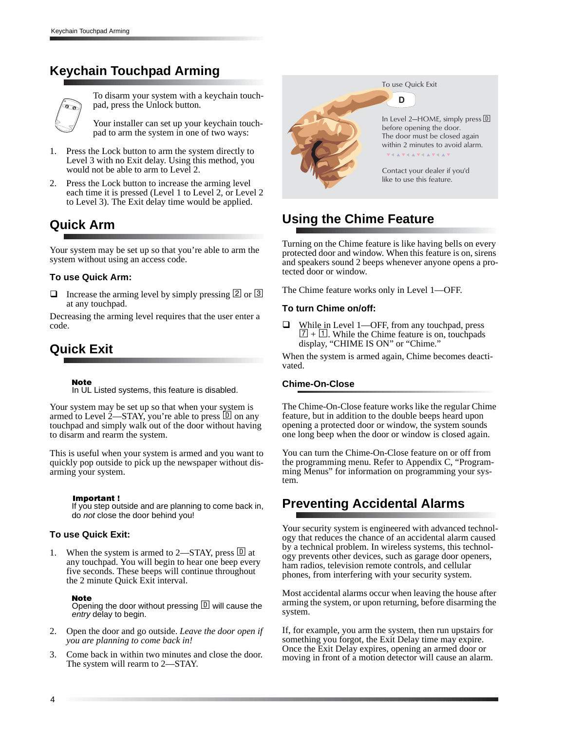## **Keychain Touchpad Arming**



To disarm your system with a keychain touchpad, press the Unlock button.

Your installer can set up your keychain touchpad to arm the system in one of two ways:

- 1. Press the Lock button to arm the system directly to Level 3 with no Exit delay. Using this method, you would not be able to arm to Level 2.
- 2. Press the Lock button to increase the arming level each time it is pressed (Level 1 to Level 2, or Level 2 to Level 3). The Exit delay time would be applied.

## **Quick Arm**

Your system may be set up so that you're able to arm the system without using an access code.

#### **To use Quick Arm:**

**Increase the arming level by simply pressing 2 or 3** at any touchpad.

Decreasing the arming level requires that the user enter a code.

## **Quick Exit**

Note

In UL Listed systems, this feature is disabled.

Your system may be set up so that when your system is armed to Level 2—STAY, you're able to press  $\boxed{D}$  on any touchpad and simply walk out of the door without having to disarm and rearm the system.

This is useful when your system is armed and you want to quickly pop outside to pick up the newspaper without disarming your system.

#### Important !

If you step outside and are planning to come back in, do not close the door behind you!

#### **To use Quick Exit:**

When the system is armed to 2—STAY, press  $\Box$  at any touchpad. You will begin to hear one beep every five seconds. These beeps will continue throughout the 2 minute Quick Exit interval.

#### Note

Opening the door without pressing  $\mathbb D$  will cause the entry delay to begin.

- 2. Open the door and go outside. *Leave the door open if you are planning to come back in!*
- 3. Come back in within two minutes and close the door. The system will rearm to 2—STAY.



To use Quick Exit

D l

In Level 2-HOME, simply press  $\overline{D}$ before opening the door. The door must be closed again within 2 minutes to avoid alarm.

Contact your dealer if you'd like to use this feature.

## **Using the Chime Feature**

Turning on the Chime feature is like having bells on every protected door and window. When this feature is on, sirens and speakers sound 2 beeps whenever anyone opens a protected door or window.

The Chime feature works only in Level 1—OFF.

#### **To turn Chime on/off:**

 While in Level 1—OFF, from any touchpad, press  $\boxed{7} + \boxed{1}$ . While the Chime feature is on, touchpads display, "CHIME IS ON" or "Chime."

When the system is armed again, Chime becomes deactivated.

#### **Chime-On-Close**

The Chime-On-Close feature works like the regular Chime feature, but in addition to the double beeps heard upon opening a protected door or window, the system sounds one long beep when the door or window is closed again.

You can turn the Chime-On-Close feature on or off from the programming menu. Refer to Appendix C, "Programming Menus" for information on programming your system.

## **Preventing Accidental Alarms**

Your security system is engineered with advanced technology that reduces the chance of an accidental alarm caused by a technical problem. In wireless systems, this technology prevents other devices, such as garage door openers, ham radios, television remote controls, and cellular phones, from interfering with your security system.

Most accidental alarms occur when leaving the house after arming the system, or upon returning, before disarming the system.

If, for example, you arm the system, then run upstairs for something you forgot, the Exit Delay time may expire. Once the Exit Delay expires, opening an armed door or moving in front of a motion detector will cause an alarm.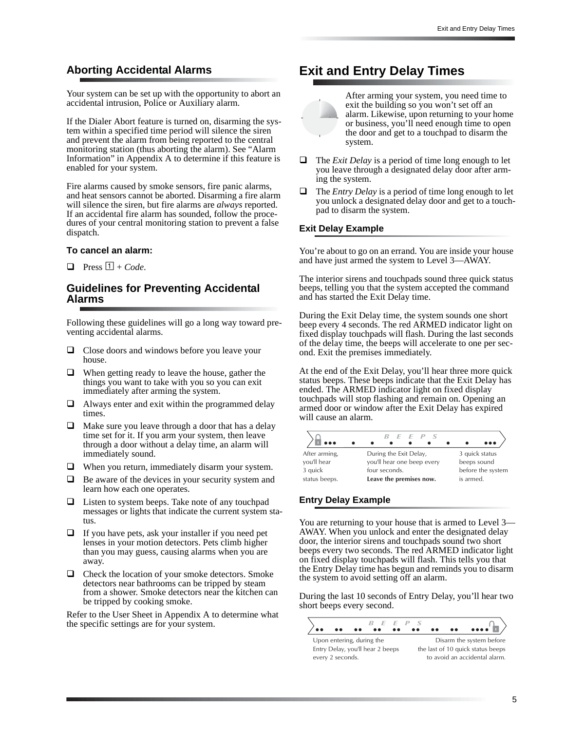### **Aborting Accidental Alarms**

Your system can be set up with the opportunity to abort an accidental intrusion, Police or Auxiliary alarm.

If the Dialer Abort feature is turned on, disarming the system within a specified time period will silence the siren and prevent the alarm from being reported to the central monitoring station (thus aborting the alarm). See "Alarm Information" in Appendix A to determine if this feature is enabled for your system.

Fire alarms caused by smoke sensors, fire panic alarms, and heat sensors cannot be aborted. Disarming a fire alarm will silence the siren, but fire alarms are *always* reported. If an accidental fire alarm has sounded, follow the procedures of your central monitoring station to prevent a false dispatch.

#### **To cancel an alarm:**

 $\Box$  Press  $\Box$  + *Code*.

#### **Guidelines for Preventing Accidental Alarms**

Following these guidelines will go a long way toward preventing accidental alarms.

- $\Box$  Close doors and windows before you leave your house.
- $\Box$  When getting ready to leave the house, gather the things you want to take with you so you can exit immediately after arming the system.
- $\Box$  Always enter and exit within the programmed delay times.
- Make sure you leave through a door that has a delay time set for it. If you arm your system, then leave through a door without a delay time, an alarm will immediately sound.
- $\Box$  When you return, immediately disarm your system.
- $\Box$  Be aware of the devices in your security system and learn how each one operates.
- $\Box$  Listen to system beeps. Take note of any touchpad messages or lights that indicate the current system status.
- $\Box$  If you have pets, ask your installer if you need pet lenses in your motion detectors. Pets climb higher than you may guess, causing alarms when you are away.
- $\Box$  Check the location of your smoke detectors. Smoke detectors near bathrooms can be tripped by steam from a shower. Smoke detectors near the kitchen can be tripped by cooking smoke.

Refer to the User Sheet in Appendix A to determine what the specific settings are for your system.

## **Exit and Entry Delay Times**



After arming your system, you need time to exit the building so you won't set off an alarm. Likewise, upon returning to your home or business, you'll need enough time to open the door and get to a touchpad to disarm the system.

- The *Exit Delay* is a period of time long enough to let you leave through a designated delay door after arming the system.
- $\Box$  The *Entry Delay* is a period of time long enough to let you unlock a designated delay door and get to a touchpad to disarm the system.

#### **Exit Delay Example**

You're about to go on an errand. You are inside your house and have just armed the system to Level 3—AWAY.

The interior sirens and touchpads sound three quick status beeps, telling you that the system accepted the command and has started the Exit Delay time.

During the Exit Delay time, the system sounds one short beep every 4 seconds. The red ARMED indicator light on fixed display touchpads will flash. During the last seconds of the delay time, the beeps will accelerate to one per second. Exit the premises immediately.

At the end of the Exit Delay, you'll hear three more quick status beeps. These beeps indicate that the Exit Delay has ended. The ARMED indicator light on fixed display touchpads will stop flashing and remain on. Opening an armed door or window after the Exit Delay has expired will cause an alarm.

|               | $B$ $E$ $E$ $P$ $S$        | $\bullet\bullet\bullet$ |
|---------------|----------------------------|-------------------------|
| After arming, | During the Exit Delay,     | 3 quick status          |
| you'll hear   | you'll hear one beep every | beeps sound             |
| 3 quick       | four seconds.              | before the system       |
| status beeps. | Leave the premises now.    | is armed.               |

#### **Entry Delay Example**

You are returning to your house that is armed to Level 3— AWAY. When you unlock and enter the designated delay door, the interior sirens and touchpads sound two short beeps every two seconds. The red ARMED indicator light on fixed display touchpads will flash. This tells you that the Entry Delay time has begun and reminds you to disarm the system to avoid setting off an alarm.

During the last 10 seconds of Entry Delay, you'll hear two short beeps every second.

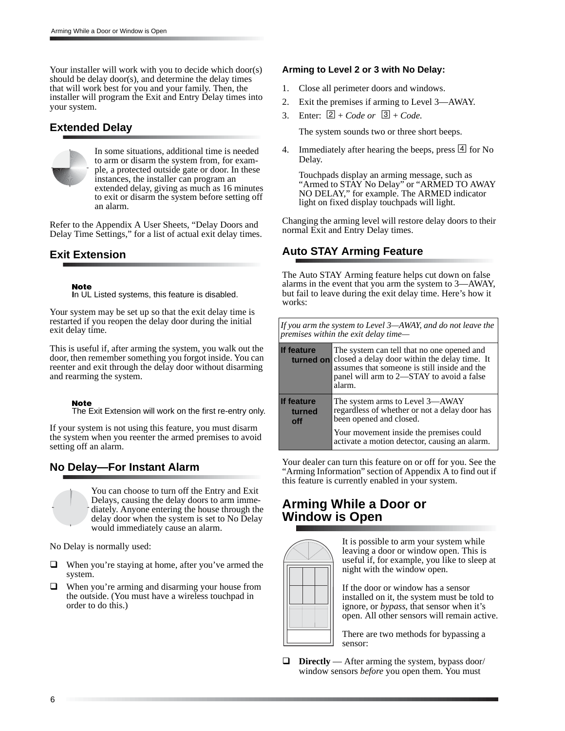Your installer will work with you to decide which door(s) should be delay door(s), and determine the delay times that will work best for you and your family. Then, the installer will program the Exit and Entry Delay times into your system.

### **Extended Delay**



In some situations, additional time is needed to arm or disarm the system from, for example, a protected outside gate or door. In these instances, the installer can program an extended delay, giving as much as 16 minutes to exit or disarm the system before setting off an alarm.

Refer to the Appendix A User Sheets, "Delay Doors and Delay Time Settings," for a list of actual exit delay times.

### **Exit Extension**

Note **I**n UL Listed systems, this feature is disabled.

Your system may be set up so that the exit delay time is restarted if you reopen the delay door during the initial exit delay time.

This is useful if, after arming the system, you walk out the door, then remember something you forgot inside. You can reenter and exit through the delay door without disarming and rearming the system.

#### Note

The Exit Extension will work on the first re-entry only.

If your system is not using this feature, you must disarm the system when you reenter the armed premises to avoid setting off an alarm.

### **No Delay—For Instant Alarm**



You can choose to turn off the Entry and Exit Delays, causing the delay doors to arm immediately. Anyone entering the house through the delay door when the system is set to No Delay would immediately cause an alarm.

No Delay is normally used:

- $\Box$  When you're staying at home, after you've armed the system.
- When you're arming and disarming your house from the outside. (You must have a wireless touchpad in order to do this.)

#### **Arming to Level 2 or 3 with No Delay:**

- 1. Close all perimeter doors and windows.
- 2. Exit the premises if arming to Level 3—AWAY.
- 3. Enter:  $\boxed{2}$  + *Code or*  $\boxed{3}$  + *Code*.

The system sounds two or three short beeps.

4. Immediately after hearing the beeps, press  $\boxed{4}$  for No Delay.

Touchpads display an arming message, such as "Armed to STAY No Delay" or "ARMED TO AWAY NO DELAY," for example. The ARMED indicator light on fixed display touchpads will light.

Changing the arming level will restore delay doors to their normal Exit and Entry Delay times.

## **Auto STAY Arming Feature**

The Auto STAY Arming feature helps cut down on false alarms in the event that you arm the system to 3—AWAY, but fail to leave during the exit delay time. Here's how it works:

*If you arm the system to Level 3—AWAY, and do not leave the premises within the exit delay time—*

| <b>If feature</b><br>turned on | The system can tell that no one opened and<br>closed a delay door within the delay time. It<br>assumes that someone is still inside and the<br>panel will arm to 2—STAY to avoid a false<br>alarm. |
|--------------------------------|----------------------------------------------------------------------------------------------------------------------------------------------------------------------------------------------------|
| If feature<br>turned<br>off    | The system arms to Level 3-AWAY<br>regardless of whether or not a delay door has<br>been opened and closed.                                                                                        |
|                                | Your movement inside the premises could<br>activate a motion detector, causing an alarm.                                                                                                           |

Your dealer can turn this feature on or off for you. See the "Arming Information" section of Appendix A to find out if this feature is currently enabled in your system.

## **Arming While a Door or Window is Open**



It is possible to arm your system while leaving a door or window open. This is useful if, for example, you like to sleep at night with the window open.

If the door or window has a sensor installed on it, the system must be told to ignore, or *bypass*, that sensor when it's open. All other sensors will remain active.

There are two methods for bypassing a sensor:

 **Directly** — After arming the system, bypass door/ window sensors *before* you open them. You must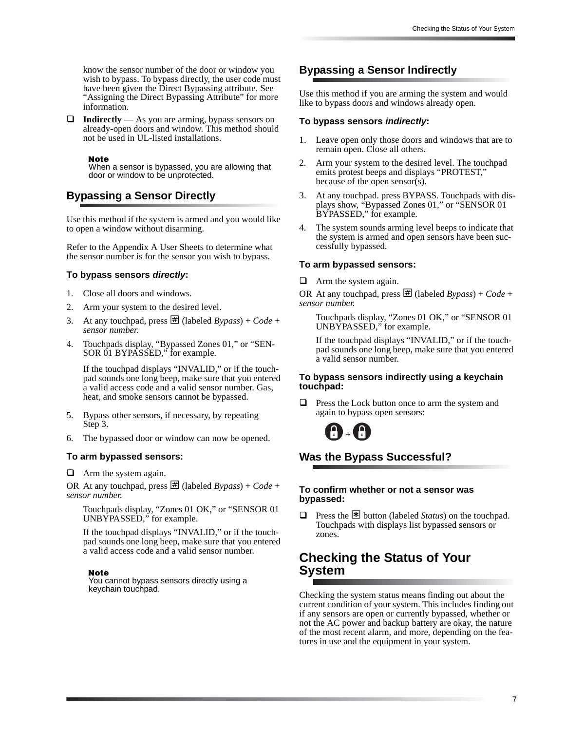know the sensor number of the door or window you wish to bypass. To bypass directly, the user code must have been given the Direct Bypassing attribute. See "Assigning the Direct Bypassing Attribute" for more information.

**Indirectly** — As you are arming, bypass sensors on already-open doors and window. This method should not be used in UL-listed installations.

**Note** 

When a sensor is bypassed, you are allowing that door or window to be unprotected.

## **Bypassing a Sensor Directly**

Use this method if the system is armed and you would like to open a window without disarming.

Refer to the Appendix A User Sheets to determine what the sensor number is for the sensor you wish to bypass.

#### **To bypass sensors directly:**

- 1. Close all doors and windows.
- 2. Arm your system to the desired level.
- 3. At any touchpad, press  $\#$  (labeled *Bypass*) + *Code* + *sensor number.*
- 4. Touchpads display, "Bypassed Zones 01," or "SEN-SOR 01 BYPASSED," for example.

If the touchpad displays "INVALID," or if the touchpad sounds one long beep, make sure that you entered a valid access code and a valid sensor number. Gas, heat, and smoke sensors cannot be bypassed.

- 5. Bypass other sensors, if necessary, by repeating Step 3.
- 6. The bypassed door or window can now be opened.

#### **To arm bypassed sensors:**

 $\Box$  Arm the system again.

OR At any touchpad, press  $\overline{\#}$  (labeled *Bypass*) + *Code* + *sensor number.* 

Touchpads display, "Zones 01 OK," or "SENSOR 01 UNBYPASSED," for example.

If the touchpad displays "INVALID," or if the touchpad sounds one long beep, make sure that you entered a valid access code and a valid sensor number.

#### **Note**

You cannot bypass sensors directly using a keychain touchpad.

### **Bypassing a Sensor Indirectly**

Use this method if you are arming the system and would like to bypass doors and windows already open.

#### **To bypass sensors indirectly:**

- 1. Leave open only those doors and windows that are to remain open. Close all others.
- 2. Arm your system to the desired level. The touchpad emits protest beeps and displays "PROTEST," because of the open sensor(s).
- 3. At any touchpad. press BYPASS*.* Touchpads with displays show, "Bypassed Zones 01," or "SENSOR 01 BYPASSED," for example.
- 4. The system sounds arming level beeps to indicate that the system is armed and open sensors have been successfully bypassed.

#### **To arm bypassed sensors:**

Arm the system again.

OR At any touchpad, press  $\overline{\mathbb{H}}$  (labeled *Bypass*) + *Code* + *sensor number.* 

Touchpads display, "Zones 01 OK," or "SENSOR 01 UNBYPASSED," for example.

If the touchpad displays "INVALID," or if the touchpad sounds one long beep, make sure that you entered a valid sensor number.

#### **To bypass sensors indirectly using a keychain touchpad:**

**Press the Lock button once to arm the system and** again to bypass open sensors:



## **Was the Bypass Successful?**

#### **To confirm whether or not a sensor was bypassed:**

**Press the <sup>\*</sup> button** (labeled *Status*) on the touchpad. Touchpads with displays list bypassed sensors or zones.

## **Checking the Status of Your System**

Checking the system status means finding out about the current condition of your system. This includes finding out if any sensors are open or currently bypassed, whether or not the AC power and backup battery are okay, the nature of the most recent alarm, and more, depending on the features in use and the equipment in your system.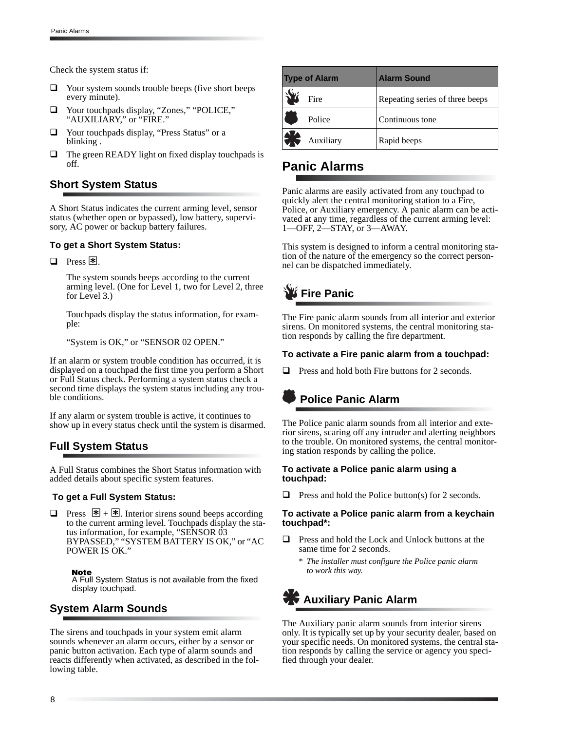Check the system status if:

- $\Box$  Your system sounds trouble beeps (five short beeps every minute).
- □ Your touchpads display, "Zones," "POLICE," "AUXILIARY," or "FIRE."
- □ Your touchpads display, "Press Status" or a blinking .
- $\Box$  The green READY light on fixed display touch pads is off.

## **Short System Status**

A Short Status indicates the current arming level, sensor status (whether open or bypassed), low battery, supervisory, AC power or backup battery failures.

#### **To get a Short System Status:**

 $\Box$  Press  $\mathbb{F}$ .

The system sounds beeps according to the current arming level. (One for Level 1, two for Level 2, three for Level 3.)

Touchpads display the status information, for example:

"System is OK," or "SENSOR 02 OPEN."

If an alarm or system trouble condition has occurred, it is displayed on a touchpad the first time you perform a Short or Full Status check. Performing a system status check a second time displays the system status including any trouble conditions.

If any alarm or system trouble is active, it continues to show up in every status check until the system is disarmed.

## **Full System Status**

A Full Status combines the Short Status information with added details about specific system features.

#### **To get a Full System Status:**

**D** Press  $\mathbb{H} + \mathbb{H}$ . Interior sirens sound beeps according to the current arming level. Touchpads display the status information, for example, "SENSOR 03 BYPASSED," "SYSTEM BATTERY IS OK," or "AC POWER IS OK."

#### **Note**

A Full System Status is not available from the fixed display touchpad.

### **System Alarm Sounds**

The sirens and touchpads in your system emit alarm sounds whenever an alarm occurs, either by a sensor or panic button activation. Each type of alarm sounds and reacts differently when activated, as described in the following table.

| <b>Type of Alarm</b> |                        | <b>Alarm Sound</b>              |
|----------------------|------------------------|---------------------------------|
| $\frac{1}{2}$        | Fire                   | Repeating series of three beeps |
| li                   | Police                 | Continuous tone                 |
|                      | $\bigotimes$ Auxiliary | Rapid beeps                     |

## **Panic Alarms**

Panic alarms are easily activated from any touchpad to quickly alert the central monitoring station to a Fire, Police, or Auxiliary emergency. A panic alarm can be activated at any time, regardless of the current arming level: 1—OFF, 2—STAY, or 3—AWAY.

This system is designed to inform a central monitoring station of the nature of the emergency so the correct personnel can be dispatched immediately.



The Fire panic alarm sounds from all interior and exterior sirens. On monitored systems, the central monitoring station responds by calling the fire department.

#### **To activate a Fire panic alarm from a touchpad:**

 $\Box$  Press and hold both Fire buttons for 2 seconds.

## **Police Panic Alarm**

The Police panic alarm sounds from all interior and exterior sirens, scaring off any intruder and alerting neighbors to the trouble. On monitored systems, the central monitoring station responds by calling the police.

#### **To activate a Police panic alarm using a touchpad:**

 $\Box$  Press and hold the Police button(s) for 2 seconds.

#### **To activate a Police panic alarm from a keychain touchpad\*:**

- $\Box$  Press and hold the Lock and Unlock buttons at the same time for 2 seconds.
	- *\* The installer must configure the Police panic alarm to work this way.*

## **Auxiliary Panic Alarm**

The Auxiliary panic alarm sounds from interior sirens only. It is typically set up by your security dealer, based on your specific needs. On monitored systems, the central station responds by calling the service or agency you specified through your dealer.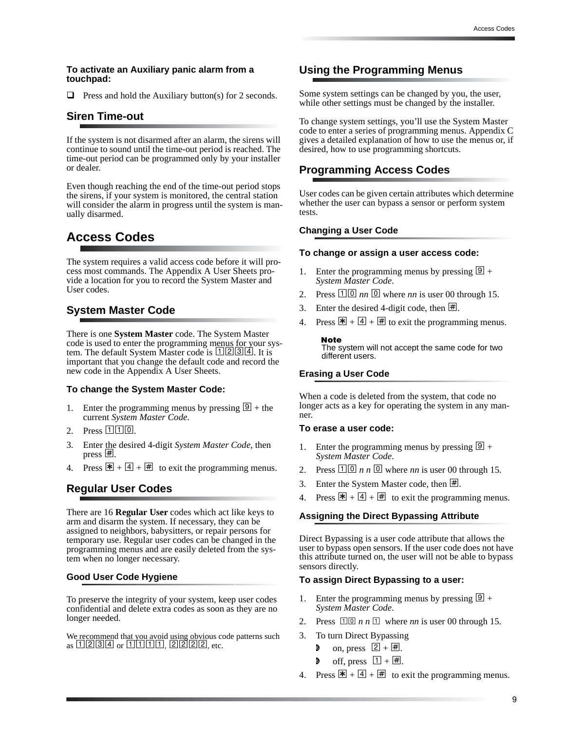#### **To activate an Auxiliary panic alarm from a touchpad:**

 $\Box$  Press and hold the Auxiliary button(s) for 2 seconds.

### **Siren Time-out**

If the system is not disarmed after an alarm, the sirens will continue to sound until the time-out period is reached. The time-out period can be programmed only by your installer or dealer.

Even though reaching the end of the time-out period stops the sirens, if your system is monitored, the central station will consider the alarm in progress until the system is manually disarmed.

## **Access Codes**

The system requires a valid access code before it will process most commands. The Appendix A User Sheets provide a location for you to record the System Master and User codes.

#### **System Master Code**

There is one **System Master** code. The System Master code is used to enter the programming menus for your system. The default System Master code is [1][2][3][4]. It is important that you change the default code and record the new code in the Appendix A User Sheets.

#### **To change the System Master Code:**

- 1. Enter the programming menus by pressing  $[9]$  + the current *System Master Code*.
- 2. Press  $110$ .
- 3. Enter the desired 4-digit *System Master Code,* then press  $\vert \underline{\#} \vert$ .
- 4. Press  $\mathbb{F} + \boxed{4} + \boxed{4}$  to exit the programming menus.

#### **Regular User Codes**

There are 16 **Regular User** codes which act like keys to arm and disarm the system. If necessary, they can be assigned to neighbors, babysitters, or repair persons for temporary use. Regular user codes can be changed in the programming menus and are easily deleted from the system when no longer necessary.

#### **Good User Code Hygiene**

To preserve the integrity of your system, keep user codes confidential and delete extra codes as soon as they are no longer needed.

We recommend that you avoid using obvious code patterns such as 1234 or 1111, 2222, etc.

### **Using the Programming Menus**

Some system settings can be changed by you, the user, while other settings must be changed by the installer.

To change system settings, you'll use the System Master code to enter a series of programming menus. Appendix C gives a detailed explanation of how to use the menus or, if desired, how to use programming shortcuts.

#### **Programming Access Codes**

User codes can be given certain attributes which determine whether the user can bypass a sensor or perform system tests.

#### **Changing a User Code**

#### **To change or assign a user access code:**

- 1. Enter the programming menus by pressing  $\boxed{9}$  + *System Master Code*.
- 2. Press  $\boxed{10}$  *nn*  $\boxed{0}$  where *nn* is user 00 through 15.
- 3. Enter the desired 4-digit code, then  $\vert \underline{\#} \vert$ .
- Press  $\mathbb{F} + \boxed{4} + \boxed{4}$  to exit the programming menus.

#### **Note**

The system will not accept the same code for two different users.

#### **Erasing a User Code**

When a code is deleted from the system, that code no longer acts as a key for operating the system in any manner.

#### **To erase a user code:**

- 1. Enter the programming menus by pressing  $[9]$  + *System Master Code*.
- 2. Press  $\boxed{10}$  *n n*  $\boxed{0}$  where *nn* is user 00 through 15.
- 3. Enter the System Master code, then  $\overline{\mathbb{H}}$ .
- 4. Press  $\mathbb{F} + \boxed{4} + \boxed{4}$  to exit the programming menus.

#### **Assigning the Direct Bypassing Attribute**

Direct Bypassing is a user code attribute that allows the user to bypass open sensors. If the user code does not have this attribute turned on, the user will not be able to bypass sensors directly.

#### **To assign Direct Bypassing to a user:**

- 1. Enter the programming menus by pressing  $[9]$  + *System Master Code*.
- 2. Press  $\boxed{10}$  *n n*  $\boxed{1}$  where *nn* is user 00 through 15.
- 3. To turn Direct Bypassing
	- on, press  $\boxed{2} + \boxed{\#}$ .
	- **d** off, press  $\boxed{1 + \boxed{\#}}$ .
- 4. Press  $\overline{\mathbf{F}} + \overline{\mathbf{4}} + \overline{\mathbf{H}}$  to exit the programming menus.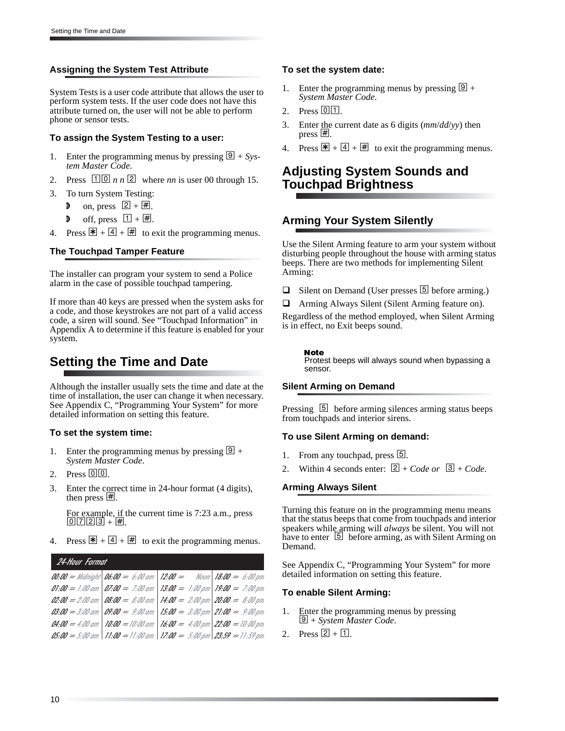#### **Assigning the System Test Attribute**

System Tests is a user code attribute that allows the user to perform system tests. If the user code does not have this attribute turned on, the user will not be able to perform phone or sensor tests.

#### **To assign the System Testing to a user:**

- 1. Enter the programming menus by pressing  $\boxed{9} + Sys$ *tem Master Code*.
- 2. Press  $1\overline{0}$  *n n* 2 where *nn* is user 00 through 15.
- 3. To turn System Testing:
	- **d** on, press  $\boxed{2} + \boxed{\#}$ .
	- **d** off, press  $\boxed{1 + \boxed{\#}}$ .
- 4. Press  $\mathbb{F} + \boxed{4} + \boxed{4}$  to exit the programming menus.

#### **The Touchpad Tamper Feature**

The installer can program your system to send a Police alarm in the case of possible touchpad tampering.

If more than 40 keys are pressed when the system asks for a code, and those keystrokes are not part of a valid access code, a siren will sound. See "Touchpad Information" in Appendix A to determine if this feature is enabled for your system.

## **Setting the Time and Date**

Although the installer usually sets the time and date at the time of installation, the user can change it when necessary. See Appendix C, "Programming Your System" for more detailed information on setting this feature.

#### **To set the system time:**

- 1. Enter the programming menus by pressing  $\boxed{9}$  + *System Master Code*.
- 2. Press  $\boxed{0}$   $\boxed{0}$ .
- 3. Enter the correct time in 24-hour format (4 digits), then press  $\vert \underline{\#} \vert$ .

For example, if the current time is 7:23 a.m., press  $\boxed{0}$   $\boxed{7}$   $\boxed{2}$   $\boxed{3}$  +  $\boxed{H}$ .

4. Press  $\mathbb{F} + \boxed{4} + \boxed{4}$  to exit the programming menus.

24-Hour Format 01:00 = 1:00 am | 07:00 = 7:00 am 02:00 = 2:00 am | 08:00 = 8:00 am 03:00 = 3:00 am | 09:00 = 9:00 am | 15:00 = 3:00 pm | 21:00 = 9:00 pm 04:00 = 4:00 am | 10:00 = 10:00 am 05:00 = 5:00 am | 11:00 = 11:00 am | 17:00 = 5:00 pm | 23:59 = 11:59 pm **12:00 =** Noon **13:00 =** 1:00 pm **14:00 =** 2:00 pm **16:00 =** 4:00 pm **18:00 =** 6:00 pm **19:00 =** 7:00 pm **20:00 =** 8:00 pm **22:00 =** 10:00 pm

#### **To set the system date:**

- 1. Enter the programming menus by pressing  $\boxed{9}$  + *System Master Code*.
- 2. Press  $[0]$   $[1]$ .
- 3. Enter the current date as 6 digits (*mm*/*dd*/*yy*) then press  $#$ .
- 4. Press  $\mathbb{F} + \boxed{4} + \boxed{4}$  to exit the programming menus.

## **Adjusting System Sounds and Touchpad Brightness**

### **Arming Your System Silently**

Use the Silent Arming feature to arm your system without disturbing people throughout the house with arming status beeps. There are two methods for implementing Silent Arming:

- $\Box$  Silent on Demand (User presses  $\Box$  before arming.)
- Arming Always Silent (Silent Arming feature on).

Regardless of the method employed, when Silent Arming is in effect, no Exit beeps sound.

#### **Note**

Protest beeps will always sound when bypassing a sensor.

#### **Silent Arming on Demand**

Pressing [5] before arming silences arming status beeps from touchpads and interior sirens.

#### **To use Silent Arming on demand:**

- From any touchpad, press [5].
- 2. Within 4 seconds enter:  $\boxed{2} + Code$  or  $\boxed{3} + Code$ .

#### **Arming Always Silent**

Turning this feature on in the programming menu means that the status beeps that come from touchpads and interior speakers while arming will *always* be silent. You will not have to enter [5] before arming, as with Silent Arming on Demand.

See Appendix C, "Programming Your System" for more detailed information on setting this feature.

#### **To enable Silent Arming:**

- 1. Enter the programming menus by pressing 9 + *System Master Code*.
- 2. Press  $\boxed{2} + \boxed{1}$ .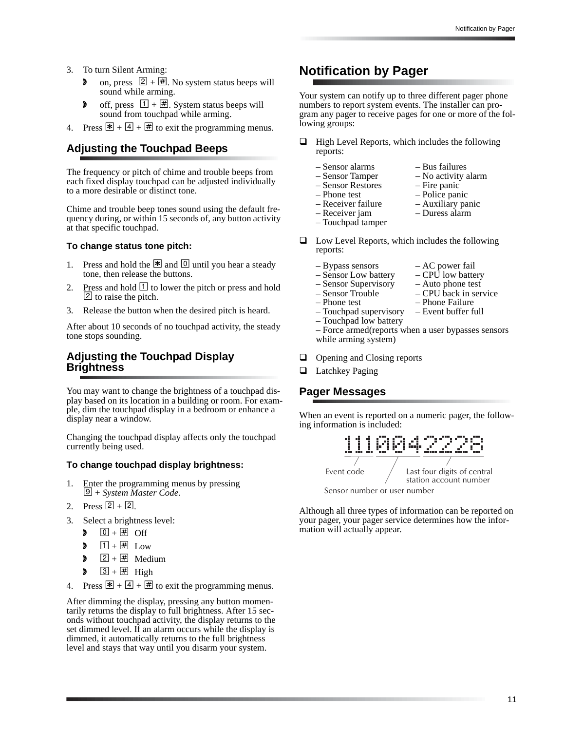- 3. To turn Silent Arming:
	- on, press  $\boxed{2} + \boxed{4}$ . No system status beeps will sound while arming.
	- **d** off, press  $\boxed{1} + \boxed{\#}$ . System status beeps will sound from touchpad while arming.
- 4. Press  $\mathbb{F} + \overline{4} + \overline{4}$  to exit the programming menus.

### **Adjusting the Touchpad Beeps**

The frequency or pitch of chime and trouble beeps from each fixed display touchpad can be adjusted individually to a more desirable or distinct tone.

Chime and trouble beep tones sound using the default frequency during, or within 15 seconds of, any button activity at that specific touchpad.

#### **To change status tone pitch:**

- 1. Press and hold the  $\mathbb{R}$  and  $\boxed{0}$  until you hear a steady tone, then release the buttons.
- 2. Press and hold  $\overline{1}$  to lower the pitch or press and hold  $\overline{2}$  to raise the pitch.
- 3. Release the button when the desired pitch is heard.

After about 10 seconds of no touchpad activity, the steady tone stops sounding.

### **Adjusting the Touchpad Display Brightness**

You may want to change the brightness of a touchpad display based on its location in a building or room. For example, dim the touchpad display in a bedroom or enhance a display near a window.

Changing the touchpad display affects only the touchpad currently being used.

#### **To change touchpad display brightness:**

- 1. Enter the programming menus by pressing 9 + *System Master Code*.
- 2. Press  $[2] + [2]$ .
- 3. Select a brightness level:
	- $\bullet$   $\overline{0} + \overline{H}$  Off
	- $\Box$  1 +  $\overline{H}$  Low
	- $\triangleright$  2 +  $\boxplus$  Medium
	- $\triangleright$  3 +  $\overline{\text{H}}$  High
- 4. Press  $\mathbb{F} + \boxed{4} + \boxed{4}$  to exit the programming menus.

After dimming the display, pressing any button momentarily returns the display to full brightness. After 15 seconds without touchpad activity, the display returns to the set dimmed level. If an alarm occurs while the display is dimmed, it automatically returns to the full brightness level and stays that way until you disarm your system.

## **Notification by Pager**

Your system can notify up to three different pager phone numbers to report system events. The installer can program any pager to receive pages for one or more of the following groups:

- $\Box$  High Level Reports, which includes the following reports:
	-
	-
	- Sensor Restores Fire panic
	-
	-
	-
	- Sensor alarms Bus failures<br>
	Sensor Tamper No activity a
		- No activity alarm
		-
	- Phone test Police panic
	- Receiver failure Auxiliary panic

 $-$  CPU back in service

- Receiver jam Duress alarm
- Touchpad tamper
- $\Box$  Low Level Reports, which includes the following reports:
	- $-$  Bypass sensors  $-$  AC power fail
	- Sensor Low battery CPU low battery
	- Sensor Supervisory Auto phone test<br>– Sensor Trouble CPU back in ser
	-
	-
	- Phone test Phone Failure<br>– Touchpad supervisory Event buffer full – Touchpad supervisory
	- Touchpad low battery
	- Force armed(reports when a user bypasses sensors while arming system)
- **Q** Opening and Closing reports
- **Latchkey Paging**

#### **Pager Messages**

When an event is reported on a numeric pager, the following information is included:



Although all three types of information can be reported on your pager, your pager service determines how the information will actually appear.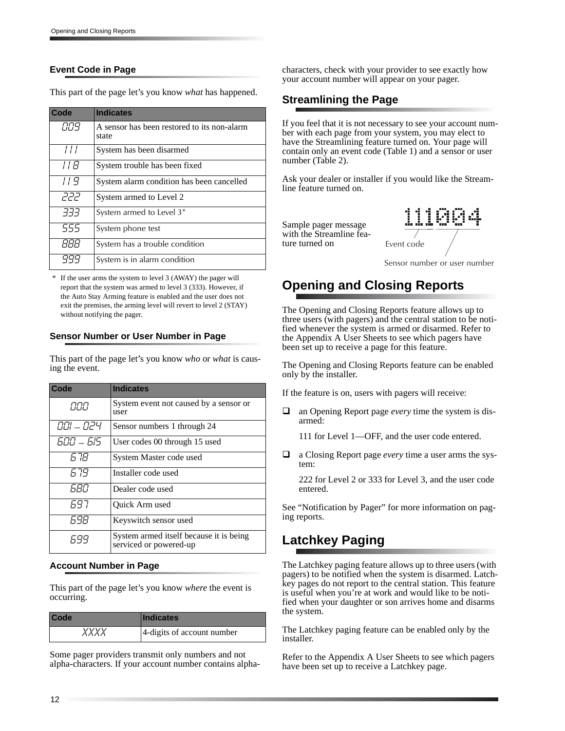### **Event Code in Page**

This part of the page let's you know *what* has happened.

| Code       | <b>Indicates</b>                                     |
|------------|------------------------------------------------------|
| 889        | A sensor has been restored to its non-alarm<br>state |
| 111        | System has been disarmed                             |
| 11 B       | System trouble has been fixed                        |
| 119        | System alarm condition has been cancelled            |
| קקק        | System armed to Level 2                              |
| -7-7-7     | System armed to Level 3*                             |
| 555        | System phone test                                    |
| <i>RRR</i> | System has a trouble condition                       |
|            | System is in alarm condition                         |

If the user arms the system to level  $3$  (AWAY) the pager will report that the system was armed to level 3 (333). However, if the Auto Stay Arming feature is enabled and the user does not exit the premises, the arming level will revert to level 2 (STAY) without notifying the pager.

#### **Sensor Number or User Number in Page**

This part of the page let's you know *who* or *what* is causing the event.

| Code         | <b>Indicates</b>                                                  |
|--------------|-------------------------------------------------------------------|
| 000          | System event not caused by a sensor or<br>user                    |
| 001 – 024    | Sensor numbers 1 through 24                                       |
| 600 - 615    | User codes 00 through 15 used                                     |
| 6 78         | System Master code used                                           |
| 679          | Installer code used                                               |
| <i>F.R.N</i> | Dealer code used                                                  |
| 697          | Quick Arm used                                                    |
| 698          | Keyswitch sensor used                                             |
| 699          | System armed itself because it is being<br>serviced or powered-up |

#### **Account Number in Page**

This part of the page let's you know *where* the event is occurring.

| <b>Code</b> | <b>Indicates</b>           |
|-------------|----------------------------|
| <i>XXXX</i> | 4-digits of account number |

Some pager providers transmit only numbers and not alpha-characters. If your account number contains alphacharacters, check with your provider to see exactly how your account number will appear on your pager.

## **Streamlining the Page**

If you feel that it is not necessary to see your account number with each page from your system, you may elect to have the Streamlining feature turned on. Your page will contain only an event code (Table 1) and a sensor or user number (Table 2).

Ask your dealer or installer if you would like the Streamline feature turned on.

Sample pager message with the Streamline feature turned on



Sensor number or user number

## **Opening and Closing Reports**

The Opening and Closing Reports feature allows up to three users (with pagers) and the central station to be notified whenever the system is armed or disarmed. Refer to the Appendix A User Sheets to see which pagers have been set up to receive a page for this feature.

The Opening and Closing Reports feature can be enabled only by the installer.

If the feature is on, users with pagers will receive:

 an Opening Report page *every* time the system is disarmed:

111 for Level 1—OFF, and the user code entered.

 a Closing Report page *every* time a user arms the system:

222 for Level 2 or 333 for Level 3, and the user code entered.

See "Notification by Pager" for more information on paging reports.

## **Latchkey Paging**

The Latchkey paging feature allows up to three users (with pagers) to be notified when the system is disarmed. Latchkey pages do not report to the central station. This feature is useful when you're at work and would like to be notified when your daughter or son arrives home and disarms the system.

The Latchkey paging feature can be enabled only by the installer.

Refer to the Appendix A User Sheets to see which pagers have been set up to receive a Latchkey page.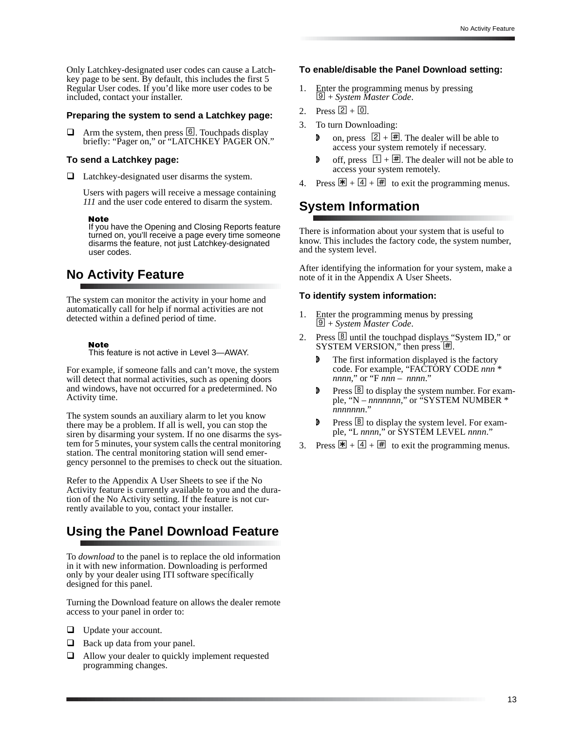Only Latchkey-designated user codes can cause a Latchkey page to be sent. By default, this includes the first 5 Regular User codes. If you'd like more user codes to be included, contact your installer.

#### **Preparing the system to send a Latchkey page:**

 $\Box$  Arm the system, then press  $\Box$ . Touchpads display briefly: "Pager on," or "LATCHKEY PAGER ON."

#### **To send a Latchkey page:**

Latchkey-designated user disarms the system.

Users with pagers will receive a message containing *111* and the user code entered to disarm the system.

#### **Note**

If you have the Opening and Closing Reports feature turned on, you'll receive a page every time someone disarms the feature, not just Latchkey-designated user codes.

## **No Activity Feature**

The system can monitor the activity in your home and automatically call for help if normal activities are not detected within a defined period of time.

#### **Note**

This feature is not active in Level 3—AWAY.

For example, if someone falls and can't move, the system will detect that normal activities, such as opening doors and windows, have not occurred for a predetermined. No Activity time.

The system sounds an auxiliary alarm to let you know there may be a problem. If all is well, you can stop the siren by disarming your system. If no one disarms the system for 5 minutes, your system calls the central monitoring station. The central monitoring station will send emergency personnel to the premises to check out the situation.

Refer to the Appendix A User Sheets to see if the No Activity feature is currently available to you and the duration of the No Activity setting. If the feature is not currently available to you, contact your installer.

## **Using the Panel Download Feature**

To *download* to the panel is to replace the old information in it with new information. Downloading is performed only by your dealer using ITI software specifically designed for this panel.

Turning the Download feature on allows the dealer remote access to your panel in order to:

- **U** Update your account.
- $\Box$  Back up data from your panel.
- $\Box$  Allow your dealer to quickly implement requested programming changes.

#### **To enable/disable the Panel Download setting:**

- 1. Enter the programming menus by pressing  $\boxed{\mathcal{Q}}$  + *System Master Code*.
- 2. Press  $[2] + [0]$ .
- 3. To turn Downloading:
	- **a** on, press  $\boxed{2} + \boxed{4}$ . The dealer will be able to access your system remotely if necessary.
	- **d** off, press  $\boxed{1} + \boxed{H}$ . The dealer will not be able to access your system remotely.
- 4. Press  $\mathbb{F} + \boxed{4} + \boxed{4}$  to exit the programming menus.

## **System Information**

There is information about your system that is useful to know. This includes the factory code, the system number, and the system level.

After identifying the information for your system, make a note of it in the Appendix A User Sheets.

#### **To identify system information:**

- 1. Enter the programming menus by pressing 9 + *System Master Code*.
- 2. Press  $\boxed{B}$  until the touchpad displays "System ID," or SYSTEM VERSION," then press  $\overline{\mathbb{H}}$ .
	- The first information displayed is the factory code. For example, "FACTORY CODE *nnn* \* *nnnn*," or "F *nnn* – *nnnn*."
	- $\triangleright$  Press  $\triangleright$  to display the system number. For example, "N – *nnnnnnn*," or "SYSTEM NUMBER \* *nnnnnnn*."
	- $\triangleright$  Press  $\triangleright$  to display the system level. For example, "L *nnnn*," or SYSTEM LEVEL *nnnn*."
- 3. Press  $\mathbb{R} + [4] + \mathbb{H}$  to exit the programming menus.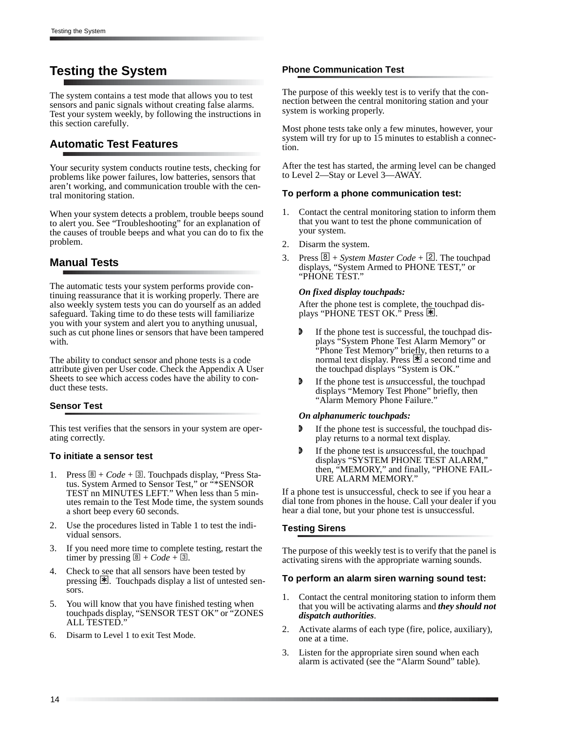## **Testing the System**

The system contains a test mode that allows you to test sensors and panic signals without creating false alarms. Test your system weekly, by following the instructions in this section carefully.

### **Automatic Test Features**

Your security system conducts routine tests, checking for problems like power failures, low batteries, sensors that aren't working, and communication trouble with the central monitoring station.

When your system detects a problem, trouble beeps sound to alert you. See "Troubleshooting" for an explanation of the causes of trouble beeps and what you can do to fix the problem.

### **Manual Tests**

The automatic tests your system performs provide continuing reassurance that it is working properly. There are also weekly system tests you can do yourself as an added safeguard. Taking time to do these tests will familiarize you with your system and alert you to anything unusual, such as cut phone lines or sensors that have been tampered with.

The ability to conduct sensor and phone tests is a code attribute given per User code. Check the Appendix A User Sheets to see which access codes have the ability to conduct these tests.

#### **Sensor Test**

This test verifies that the sensors in your system are operating correctly.

#### **To initiate a sensor test**

- Press  $\mathbb{B}$  + *Code* +  $\mathbb{B}$ . Touchpads display, "Press Status. System Armed to Sensor Test," or "\*SENSOR TEST nn MINUTES LEFT." When less than 5 minutes remain to the Test Mode time, the system sounds a short beep every 60 seconds.
- 2. Use the procedures listed in Table 1 to test the individual sensors.
- 3. If you need more time to complete testing, restart the timer by pressing  $\boxed{8} + Code + \boxed{3}$ .
- 4. Check to see that all sensors have been tested by pressing  $\mathbb{E}$ . Touchpads display a list of untested sensors.
- 5. You will know that you have finished testing when touchpads display, "SENSOR TEST OK" or "ZONES ALL TESTED."
- Disarm to Level 1 to exit Test Mode.

#### **Phone Communication Test**

The purpose of this weekly test is to verify that the connection between the central monitoring station and your system is working properly.

Most phone tests take only a few minutes, however, your system will try for up to 15 minutes to establish a connection.

After the test has started, the arming level can be changed to Level 2—Stay or Level 3—AWAY.

#### **To perform a phone communication test:**

- 1. Contact the central monitoring station to inform them that you want to test the phone communication of your system.
- 2. Disarm the system.
- Press  $\boxed{8}$  + *System Master Code* +  $\boxed{2}$ . The touchpad displays, "System Armed to PHONE TEST," or "PHONE TEST."

#### *On fixed display touchpads:*

After the phone test is complete, the touchpad displays "PHONE TEST OK." Press  $\mathbb{R}$ .

- **D** If the phone test is successful, the touchpad displays "System Phone Test Alarm Memory" or "Phone Test Memory" briefly, then returns to a normal text display. Press  $\mathbb{H}$  a second time and the touchpad displays "System is OK."
- **F** If the phone test is *un* successful, the touchpad displays "Memory Test Phone" briefly, then "Alarm Memory Phone Failure."

#### *On alphanumeric touchpads:*

- If the phone test is successful, the touchpad display returns to a normal text display.
- **f** If the phone test is *un* successful, the touchpad displays "SYSTEM PHONE TEST ALARM," then, "MEMORY," and finally, "PHONE FAIL-URE ALARM MEMORY."

If a phone test is unsuccessful, check to see if you hear a dial tone from phones in the house. Call your dealer if you hear a dial tone, but your phone test is unsuccessful.

#### **Testing Sirens**

The purpose of this weekly test is to verify that the panel is activating sirens with the appropriate warning sounds.

#### **To perform an alarm siren warning sound test:**

- 1. Contact the central monitoring station to inform them that you will be activating alarms and *they should not dispatch authorities*.
- 2. Activate alarms of each type (fire, police, auxiliary), one at a time.
- 3. Listen for the appropriate siren sound when each alarm is activated (see the "Alarm Sound" table).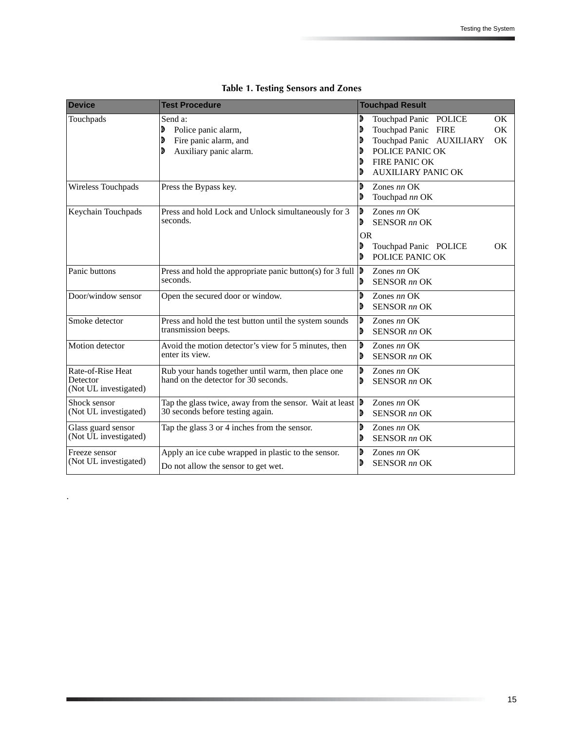| <b>Device</b>                                          | <b>Test Procedure</b>                                                                                                 | <b>Touchpad Result</b>                                                                                                                                                                    |
|--------------------------------------------------------|-----------------------------------------------------------------------------------------------------------------------|-------------------------------------------------------------------------------------------------------------------------------------------------------------------------------------------|
| Touchpads                                              | Send a:<br>đ<br>Police panic alarm,<br>Fire panic alarm, and<br>D<br>Auxiliary panic alarm.<br>D                      | Touchpad Panic POLICE<br>D<br>OK.<br>Touchpad Panic FIRE<br><b>OK</b><br>Touchpad Panic AUXILIARY<br><b>OK</b><br>POLICE PANIC OK<br>FIRE PANIC OK<br>D<br><b>AUXILIARY PANIC OK</b><br>D |
| Wireless Touchpads                                     | Press the Bypass key.                                                                                                 | D<br>Zones $nn$ OK<br>D<br>Touchpad nn OK                                                                                                                                                 |
| Keychain Touchpads                                     | Press and hold Lock and Unlock simultaneously for 3<br>seconds.                                                       | D<br>Zones $nn$ OK<br><b>SENSOR</b> nn OK<br>D<br><b>OR</b><br>Touchpad Panic POLICE<br>OK.<br>D<br>POLICE PANIC OK<br>D                                                                  |
| Panic buttons                                          | Press and hold the appropriate panic button(s) for 3 full $\vert \mathbf{D} \vert$<br>seconds.                        | Zones $nn$ OK<br><b>SENSOR</b> nn OK<br>$\mathbf{6}$                                                                                                                                      |
| Door/window sensor                                     | Open the secured door or window.                                                                                      | D<br>Zones $nn$ OK<br><b>SENSOR</b> nn OK<br>D                                                                                                                                            |
| Smoke detector                                         | Press and hold the test button until the system sounds<br>transmission beeps.                                         | D<br>Zones $nn$ OK<br><b>SENSOR</b> nn OK<br>D                                                                                                                                            |
| Motion detector                                        | Avoid the motion detector's view for 5 minutes, then<br>enter its view.                                               | D<br>Zones $nn$ OK<br><b>SENSOR</b> nn OK<br>D                                                                                                                                            |
| Rate-of-Rise Heat<br>Detector<br>(Not UL investigated) | Rub your hands together until warm, then place one<br>hand on the detector for 30 seconds.                            | D<br>Zones $nn$ OK<br><b>SENSOR</b> nn OK<br>D                                                                                                                                            |
| Shock sensor<br>(Not UL investigated)                  | Tap the glass twice, away from the sensor. Wait at least $\vert \mathbf{D} \vert$<br>30 seconds before testing again. | Zones $nn$ OK<br><b>SENSOR</b> nn OK<br>D                                                                                                                                                 |
| Glass guard sensor<br>(Not UL investigated)            | Tap the glass 3 or 4 inches from the sensor.                                                                          | D<br>Zones $nn$ OK<br><b>SENSOR</b> nn OK<br>D                                                                                                                                            |
| Freeze sensor<br>(Not UL investigated)                 | Apply an ice cube wrapped in plastic to the sensor.<br>Do not allow the sensor to get wet.                            | D<br>Zones $nn$ OK<br><b>SENSOR</b> nn OK<br>D                                                                                                                                            |

.

## **Table 1. Testing Sensors and Zones**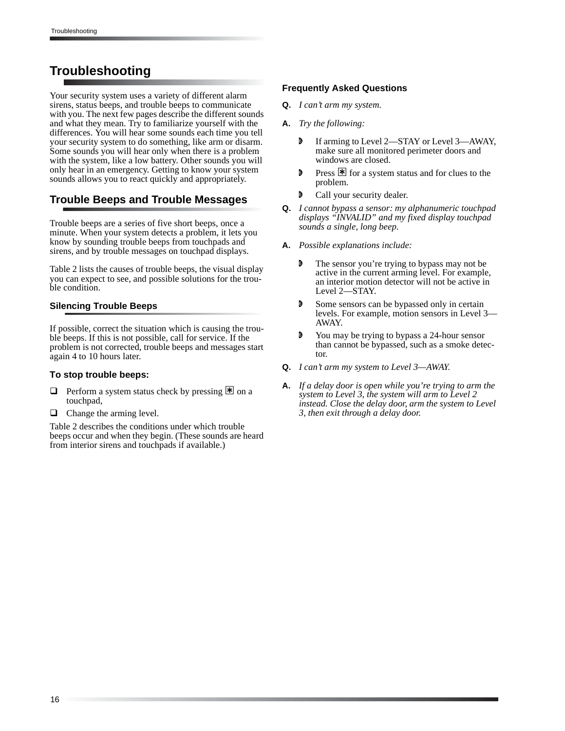## **Troubleshooting**

Your security system uses a variety of different alarm sirens, status beeps, and trouble beeps to communicate with you. The next few pages describe the different sounds and what they mean. Try to familiarize yourself with the differences. You will hear some sounds each time you tell your security system to do something, like arm or disarm. Some sounds you will hear only when there is a problem with the system, like a low battery. Other sounds you will only hear in an emergency. Getting to know your system sounds allows you to react quickly and appropriately.

## **Trouble Beeps and Trouble Messages**

Trouble beeps are a series of five short beeps, once a minute. When your system detects a problem, it lets you know by sounding trouble beeps from touchpads and sirens, and by trouble messages on touchpad displays.

Table 2 lists the causes of trouble beeps, the visual display you can expect to see, and possible solutions for the trouble condition.

#### **Silencing Trouble Beeps**

If possible, correct the situation which is causing the trouble beeps. If this is not possible, call for service. If the problem is not corrected, trouble beeps and messages start again 4 to 10 hours later.

#### **To stop trouble beeps:**

- Perform a system status check by pressing  $\mathbb{R}$  on a touchpad,
- $\Box$  Change the arming level.

Table 2 describes the conditions under which trouble beeps occur and when they begin. (These sounds are heard from interior sirens and touchpads if available.)

#### **Frequently Asked Questions**

- **Q.** *I can't arm my system.*
- **A.** *Try the following:*
	- **D** If arming to Level 2—STAY or Level 3—AWAY, make sure all monitored perimeter doors and windows are closed.
	- **P** Press  $\mathbb{F}$  for a system status and for clues to the problem.
	- **D** Call your security dealer.
- **Q.** *I cannot bypass a sensor: my alphanumeric touchpad displays "INVALID" and my fixed display touchpad sounds a single, long beep.*
- **A.** *Possible explanations include:*
	- The sensor you're trying to bypass may not be active in the current arming level. For example, an interior motion detector will not be active in Level 2—STAY.
	- **D** Some sensors can be bypassed only in certain levels. For example, motion sensors in Level 3— AWAY.
	- You may be trying to bypass a 24-hour sensor than cannot be bypassed, such as a smoke detector.
- **Q.** *I can't arm my system to Level 3—AWAY.*
- **A.** *If a delay door is open while you're trying to arm the system to Level 3, the system will arm to Level 2 instead. Close the delay door, arm the system to Level 3, then exit through a delay door.*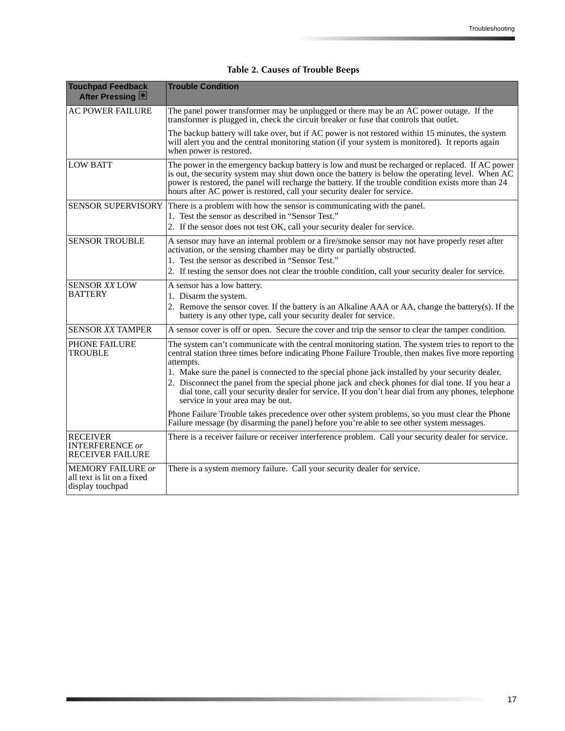| <b>Touchpad Feedback</b><br>After Pressing 图                               | <b>Trouble Condition</b>                                                                                                                                                                                                                                                                                                                                                                                                                                                                                                                                                                                                                                                      |
|----------------------------------------------------------------------------|-------------------------------------------------------------------------------------------------------------------------------------------------------------------------------------------------------------------------------------------------------------------------------------------------------------------------------------------------------------------------------------------------------------------------------------------------------------------------------------------------------------------------------------------------------------------------------------------------------------------------------------------------------------------------------|
| <b>AC POWER FAILURE</b>                                                    | The panel power transformer may be unplugged or there may be an AC power outage. If the<br>transformer is plugged in, check the circuit breaker or fuse that controls that outlet.                                                                                                                                                                                                                                                                                                                                                                                                                                                                                            |
|                                                                            | The backup battery will take over, but if AC power is not restored within 15 minutes, the system<br>will alert you and the central monitoring station (if your system is monitored). It reports again<br>when power is restored.                                                                                                                                                                                                                                                                                                                                                                                                                                              |
| <b>LOW BATT</b>                                                            | The power in the emergency backup battery is low and must be recharged or replaced. If AC power<br>is out, the security system may shut down once the battery is below the operating level. When AC<br>power is restored, the panel will recharge the battery. If the trouble condition exists more than 24<br>hours after AC power is restored, call your security dealer for service.                                                                                                                                                                                                                                                                                       |
| <b>SENSOR SUPERVISORY</b>                                                  | There is a problem with how the sensor is communicating with the panel.<br>1. Test the sensor as described in "Sensor Test."<br>2. If the sensor does not test OK, call your security dealer for service.                                                                                                                                                                                                                                                                                                                                                                                                                                                                     |
| <b>SENSOR TROUBLE</b>                                                      | A sensor may have an internal problem or a fire/smoke sensor may not have properly reset after<br>activation, or the sensing chamber may be dirty or partially obstructed.<br>1. Test the sensor as described in "Sensor Test."<br>2. If testing the sensor does not clear the trouble condition, call your security dealer for service.                                                                                                                                                                                                                                                                                                                                      |
| <b>SENSOR XX LOW</b><br><b>BATTERY</b>                                     | A sensor has a low battery.<br>1. Disarm the system.<br>2. Remove the sensor cover. If the battery is an Alkaline AAA or AA, change the battery(s). If the<br>battery is any other type, call your security dealer for service.                                                                                                                                                                                                                                                                                                                                                                                                                                               |
| <b>SENSOR XX TAMPER</b>                                                    | A sensor cover is off or open. Secure the cover and trip the sensor to clear the tamper condition.                                                                                                                                                                                                                                                                                                                                                                                                                                                                                                                                                                            |
| <b>PHONE FAILURE</b><br><b>TROUBLE</b>                                     | The system can't communicate with the central monitoring station. The system tries to report to the<br>central station three times before indicating Phone Failure Trouble, then makes five more reporting<br>attempts.<br>1. Make sure the panel is connected to the special phone jack installed by your security dealer.<br>2. Disconnect the panel from the special phone jack and check phones for dial tone. If you hear a<br>dial tone, call your security dealer for service. If you don't hear dial from any phones, telephone<br>service in your area may be out.<br>Phone Failure Trouble takes precedence over other system problems, so you must clear the Phone |
|                                                                            | Failure message (by disarming the panel) before you're able to see other system messages.                                                                                                                                                                                                                                                                                                                                                                                                                                                                                                                                                                                     |
| <b>RECEIVER</b><br><b>INTERFERENCE</b> or<br><b>RECEIVER FAILURE</b>       | There is a receiver failure or receiver interference problem. Call your security dealer for service.                                                                                                                                                                                                                                                                                                                                                                                                                                                                                                                                                                          |
| <b>MEMORY FAILURE or</b><br>all text is lit on a fixed<br>display touchpad | There is a system memory failure. Call your security dealer for service.                                                                                                                                                                                                                                                                                                                                                                                                                                                                                                                                                                                                      |

 **Table 2. Causes of Trouble Beeps**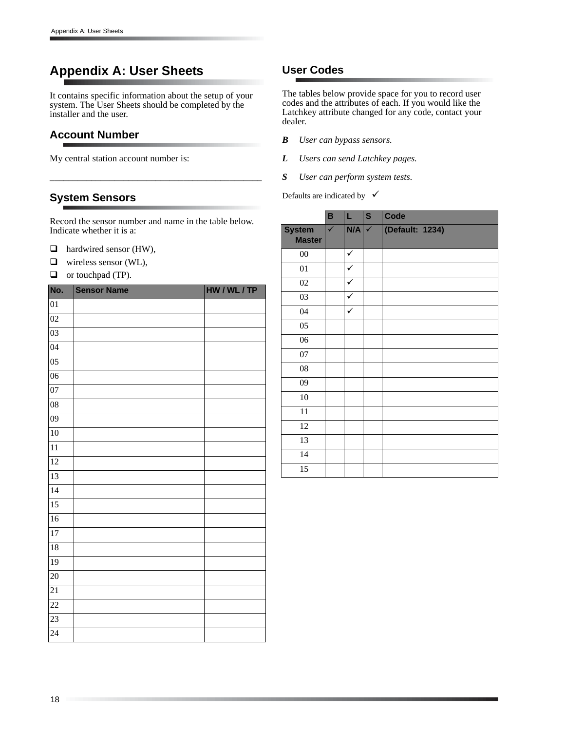## **Appendix A: User Sheets**

It contains specific information about the setup of your system. The User Sheets should be completed by the installer and the user.

### **Account Number**

My central station account number is:

### **System Sensors**

Record the sensor number and name in the table below. Indicate whether it is a:

\_\_\_\_\_\_\_\_\_\_\_\_\_\_\_\_\_\_\_\_\_\_\_\_\_\_\_\_\_\_\_\_\_\_\_\_\_\_\_\_\_\_\_\_\_\_

- $\Box$  hardwired sensor (HW),
- wireless sensor (WL),
- $\Box$  or touchpad (TP).

| No.             | <b>Sensor Name</b> | HW / WL / TP |
|-----------------|--------------------|--------------|
| 01              |                    |              |
| 02              |                    |              |
| $\overline{03}$ |                    |              |
| $\overline{04}$ |                    |              |
| $\overline{05}$ |                    |              |
| $\overline{06}$ |                    |              |
| 07              |                    |              |
| $\overline{08}$ |                    |              |
| $\overline{09}$ |                    |              |
| 10              |                    |              |
| $\overline{11}$ |                    |              |
| 12              |                    |              |
| 13              |                    |              |
| 14              |                    |              |
| $\overline{15}$ |                    |              |
| 16              |                    |              |
| 17              |                    |              |
| 18              |                    |              |
| $\overline{19}$ |                    |              |
| 20              |                    |              |
| $\overline{21}$ |                    |              |
| $\overline{22}$ |                    |              |
| $\overline{23}$ |                    |              |
| 24              |                    |              |

## **User Codes**

The tables below provide space for you to record user codes and the attributes of each. If you would like the Latchkey attribute changed for any code, contact your dealer.

- *B User can bypass sensors.*
- *L Users can send Latchkey pages.*
- *S User can perform system tests.*
- Defaults are indicated by  $\checkmark$

|                                | B            | L   | $\overline{\mathbf{s}}$ | Code            |
|--------------------------------|--------------|-----|-------------------------|-----------------|
| <b>System</b><br><b>Master</b> | $\checkmark$ | N/A | $\checkmark$            | (Default: 1234) |
| $00\,$                         |              | ✓   |                         |                 |
| 01                             |              | ✓   |                         |                 |
| 02                             |              | ✓   |                         |                 |
| 03                             |              | ✓   |                         |                 |
| 04                             |              | ✓   |                         |                 |
| 05                             |              |     |                         |                 |
| 06                             |              |     |                         |                 |
| 07                             |              |     |                         |                 |
| ${\bf 08}$                     |              |     |                         |                 |
| 09                             |              |     |                         |                 |
| 10                             |              |     |                         |                 |
| 11                             |              |     |                         |                 |
| 12                             |              |     |                         |                 |
| 13                             |              |     |                         |                 |
| 14                             |              |     |                         |                 |
| 15                             |              |     |                         |                 |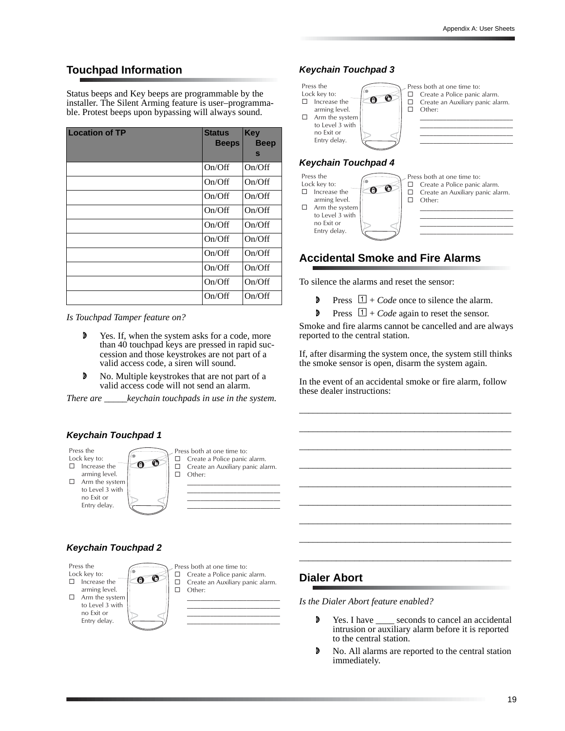7777777777777777777777777777 7777777777777777777777777777 7777777777777777777777777777

## **Touchpad Information**

Status beeps and Key beeps are programmable by the installer. The Silent Arming feature is user–programmable. Protest beeps upon bypassing will always sound.

| <b>Location of TP</b> | <b>Status</b><br><b>Beeps</b> | <b>Key</b><br><b>Beep</b> |
|-----------------------|-------------------------------|---------------------------|
|                       |                               | $\mathbf{s}$              |
|                       | On/Off                        | On/Off                    |
|                       | On/Off                        | On/Off                    |
|                       | On/Off                        | On/Off                    |
|                       | On/Off                        | On/Off                    |
|                       | On/Off                        | On/Off                    |
|                       | On/Off                        | On/Off                    |
|                       | On/Off                        | On/Off                    |
|                       | On/Off                        | On/Off                    |
|                       | On/Off                        | On/Off                    |
|                       | On/Off                        | On/Off                    |

*Is Touchpad Tamper feature on?*

- **D** Yes. If, when the system asks for a code, more than 40 touchpad keys are pressed in rapid succession and those keystrokes are not part of a valid access code, a siren will sound.
- $\triangleright$  No. Multiple keystrokes that are not part of a valid access code will not send an alarm.

*There are \_\_\_\_\_keychain touchpads in use in the system.*



#### **Keychain Touchpad 2**

Press the Lock key to:  $\Box$  Increase the

arming level.  $\Box$  Arm the system to Level  $3$  with no Exit or Entry delay.



Other:

7777777777777777777777777777 7777777777777777777777777777 7777777777777777777777777777 7777777777777777777777777777

## **Keychain Touchpad 3**

to Level  $3$  with no Exit or Entry delay



## **Accidental Smoke and Fire Alarms**

To silence the alarms and reset the sensor:

- Press  $\boxed{1} + Code$  once to silence the alarm.
- **P** Press  $\boxed{1}$  + *Code* again to reset the sensor.

Smoke and fire alarms cannot be cancelled and are always reported to the central station.

If, after disarming the system once, the system still thinks the smoke sensor is open, disarm the system again.

In the event of an accidental smoke or fire alarm, follow these dealer instructions:

\_\_\_\_\_\_\_\_\_\_\_\_\_\_\_\_\_\_\_\_\_\_\_\_\_\_\_\_\_\_\_\_\_\_\_\_\_\_\_\_\_\_\_\_\_\_

\_\_\_\_\_\_\_\_\_\_\_\_\_\_\_\_\_\_\_\_\_\_\_\_\_\_\_\_\_\_\_\_\_\_\_\_\_\_\_\_\_\_\_\_\_\_ \_\_\_\_\_\_\_\_\_\_\_\_\_\_\_\_\_\_\_\_\_\_\_\_\_\_\_\_\_\_\_\_\_\_\_\_\_\_\_\_\_\_\_\_\_\_

\_\_\_\_\_\_\_\_\_\_\_\_\_\_\_\_\_\_\_\_\_\_\_\_\_\_\_\_\_\_\_\_\_\_\_\_\_\_\_\_\_\_\_\_\_\_

\_\_\_\_\_\_\_\_\_\_\_\_\_\_\_\_\_\_\_\_\_\_\_\_\_\_\_\_\_\_\_\_\_\_\_\_\_\_\_\_\_\_\_\_\_\_ \_\_\_\_\_\_\_\_\_\_\_\_\_\_\_\_\_\_\_\_\_\_\_\_\_\_\_\_\_\_\_\_\_\_\_\_\_\_\_\_\_\_\_\_\_\_

\_\_\_\_\_\_\_\_\_\_\_\_\_\_\_\_\_\_\_\_\_\_\_\_\_\_\_\_\_\_\_\_\_\_\_\_\_\_\_\_\_\_\_\_\_\_

\_\_\_\_\_\_\_\_\_\_\_\_\_\_\_\_\_\_\_\_\_\_\_\_\_\_\_\_\_\_\_\_\_\_\_\_\_\_\_\_\_\_\_\_\_\_ \_\_\_\_\_\_\_\_\_\_\_\_\_\_\_\_\_\_\_\_\_\_\_\_\_\_\_\_\_\_\_\_\_\_\_\_\_\_\_\_\_\_\_\_\_\_

### **Dialer Abort**

*Is the Dialer Abort feature enabled?*

- **D** Yes. I have \_\_\_\_ seconds to cancel an accidental intrusion or auxiliary alarm before it is reported to the central station.
- **D** No. All alarms are reported to the central station immediately.

**Keychain Touchpad 1**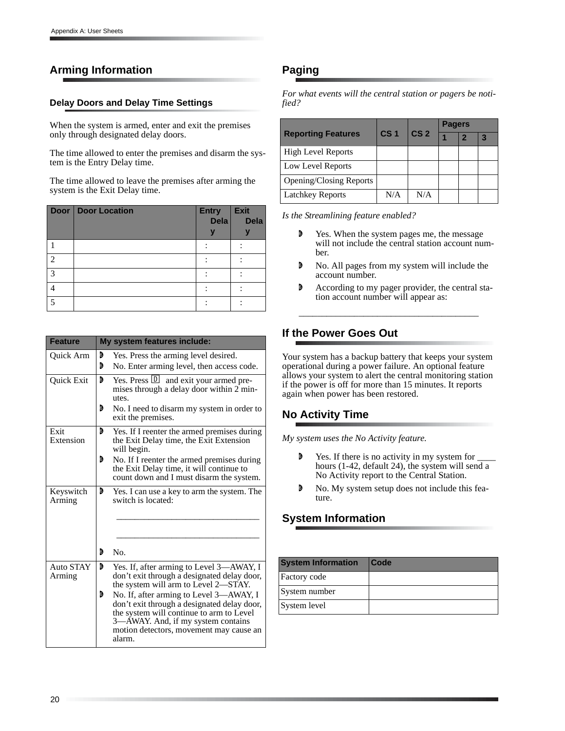## **Arming Information**

#### **Delay Doors and Delay Time Settings**

When the system is armed, enter and exit the premises only through designated delay doors.

The time allowed to enter the premises and disarm the system is the Entry Delay time.

The time allowed to leave the premises after arming the system is the Exit Delay time.

|               | <b>Door   Door Location</b> | <b>Entry</b><br>Dela | Exit<br><b>Dela</b> |
|---------------|-----------------------------|----------------------|---------------------|
|               |                             |                      |                     |
|               |                             |                      |                     |
| ◠             |                             |                      |                     |
| $\mathcal{D}$ |                             |                      |                     |
|               |                             |                      |                     |
|               |                             |                      |                     |

| <b>Feature</b>             |        | My system features include:                                                                                                                                                                                                                                           |  |  |  |
|----------------------------|--------|-----------------------------------------------------------------------------------------------------------------------------------------------------------------------------------------------------------------------------------------------------------------------|--|--|--|
| Quick Arm                  | D<br>D | Yes. Press the arming level desired.<br>No. Enter arming level, then access code.                                                                                                                                                                                     |  |  |  |
| Quick Exit                 | D<br>D | Yes. Press <b>D</b> and exit your armed pre-<br>mises through a delay door within 2 min-<br>utes.<br>No. I need to disarm my system in order to<br>exit the premises.                                                                                                 |  |  |  |
| Exit<br>Extension          | D      | Yes. If I reenter the armed premises during<br>the Exit Delay time, the Exit Extension<br>will begin.                                                                                                                                                                 |  |  |  |
|                            | D      | No. If I reenter the armed premises during<br>the Exit Delay time, it will continue to<br>count down and I must disarm the system.                                                                                                                                    |  |  |  |
| Keyswitch<br>Arming        | D      | Yes. I can use a key to arm the system. The<br>switch is located:                                                                                                                                                                                                     |  |  |  |
|                            | D      | No.                                                                                                                                                                                                                                                                   |  |  |  |
| <b>Auto STAY</b><br>Arming | D<br>D | Yes. If, after arming to Level 3-AWAY, I<br>don't exit through a designated delay door,<br>the system will arm to Level 2—STAY.<br>No. If, after arming to Level 3-AWAY, I<br>don't exit through a designated delay door,<br>the system will continue to arm to Level |  |  |  |
|                            |        | 3—AWAY. And, if my system contains<br>motion detectors, movement may cause an<br>alarm.                                                                                                                                                                               |  |  |  |

## **Paging**

*For what events will the central station or pagers be notified?*

|                                | CS <sub>1</sub> | CS <sub>2</sub> | <b>Pagers</b> |  |   |
|--------------------------------|-----------------|-----------------|---------------|--|---|
| <b>Reporting Features</b>      |                 |                 |               |  | 3 |
| <b>High Level Reports</b>      |                 |                 |               |  |   |
| Low Level Reports              |                 |                 |               |  |   |
| <b>Opening/Closing Reports</b> |                 |                 |               |  |   |
| <b>Latchkey Reports</b>        | N/A             | N/A             |               |  |   |

*Is the Streamlining feature enabled?*

- **D** Yes. When the system pages me, the message will not include the central station account number.
- No. All pages from my system will include the account number.
- **D** According to my pager provider, the central station account number will appear as:

\_\_\_\_\_\_\_\_\_\_\_\_\_\_\_\_\_\_\_\_\_\_\_\_\_\_\_\_\_\_\_\_\_\_\_\_\_\_\_

## **If the Power Goes Out**

Your system has a backup battery that keeps your system operational during a power failure. An optional feature allows your system to alert the central monitoring station if the power is off for more than 15 minutes. It reports again when power has been restored.

## **No Activity Time**

*My system uses the No Activity feature.*

- **D** Yes. If there is no activity in my system for hours (1-42, default 24), the system will send a No Activity report to the Central Station.
- No. My system setup does not include this feature.

## **System Information**

| <b>System Information</b> | <b>Code</b> |
|---------------------------|-------------|
| Factory code              |             |
| System number             |             |
| System level              |             |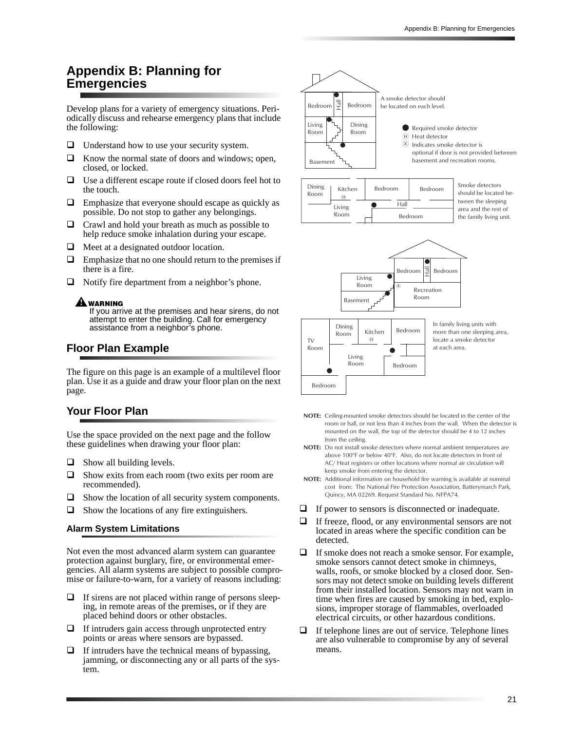## **Appendix B: Planning for Emergencies**

Develop plans for a variety of emergency situations. Periodically discuss and rehearse emergency plans that include the following:

- $\Box$  Understand how to use your security system.
- $\Box$  Know the normal state of doors and windows; open, closed, or locked.
- $\Box$  Use a different escape route if closed doors feel hot to the touch.
- $\Box$  Emphasize that everyone should escape as quickly as possible. Do not stop to gather any belongings.
- $\Box$  Crawl and hold your breath as much as possible to help reduce smoke inhalation during your escape.
- $\Box$  Meet at a designated outdoor location.
- $\Box$  Emphasize that no one should return to the premises if there is a fire.
- $\Box$  Notify fire department from a neighbor's phone.

#### $\blacksquare$  warning

If you arrive at the premises and hear sirens, do not attempt to enter the building. Call for emergency assistance from a neighbor's phone.

#### **Floor Plan Example**

The figure on this page is an example of a multilevel floor plan. Use it as a guide and draw your floor plan on the next page.

## **Your Floor Plan**

Use the space provided on the next page and the follow these guidelines when drawing your floor plan:

- $\Box$  Show all building levels.
- $\Box$  Show exits from each room (two exits per room are recommended).
- $\Box$  Show the location of all security system components.
- $\Box$  Show the locations of any fire extinguishers.

#### **Alarm System Limitations**

Not even the most advanced alarm system can guarantee protection against burglary, fire, or environmental emergencies. All alarm systems are subject to possible compromise or failure-to-warn, for a variety of reasons including:

- $\Box$  If sirens are not placed within range of persons sleeping, in remote areas of the premises, or if they are placed behind doors or other obstacles.
- $\Box$  If intruders gain access through unprotected entry points or areas where sensors are bypassed.
- If intruders have the technical means of bypassing, jamming, or disconnecting any or all parts of the system.





Smoke detectors should be located between the sleeping area and the rest of the family living unit.



In family living units with more than one sleeping area, locate a smoke detector at each area

- NOTE: Ceiling-mounted smoke detectors should be located in the center of the room or hall, or not less than 4 inches from the wall. When the detector is mounted on the wall, the top of the detector should be 4 to 12 inches from the ceiling.
- NOTE: Do not install smoke detectors where normal ambient temperatures are above 100°F or below 40°F. Also, do not locate detectors in front of AC/ Heat registers or other locations where normal air circulation will keep smoke from entering the detector.
- NOTE: Additional information on household fire warning is available at nominal cost from: The National Fire Protection Association, Batterymarch Park, Quincy, MA 02269. Request Standard No. NFPA74
- $\Box$  If power to sensors is disconnected or inadequate.
- If freeze, flood, or any environmental sensors are not located in areas where the specific condition can be detected.
- $\Box$  If smoke does not reach a smoke sensor. For example, smoke sensors cannot detect smoke in chimneys, walls, roofs, or smoke blocked by a closed door. Sensors may not detect smoke on building levels different from their installed location. Sensors may not warn in time when fires are caused by smoking in bed, explosions, improper storage of flammables, overloaded electrical circuits, or other hazardous conditions.
- $\Box$  If telephone lines are out of service. Telephone lines are also vulnerable to compromise by any of several means.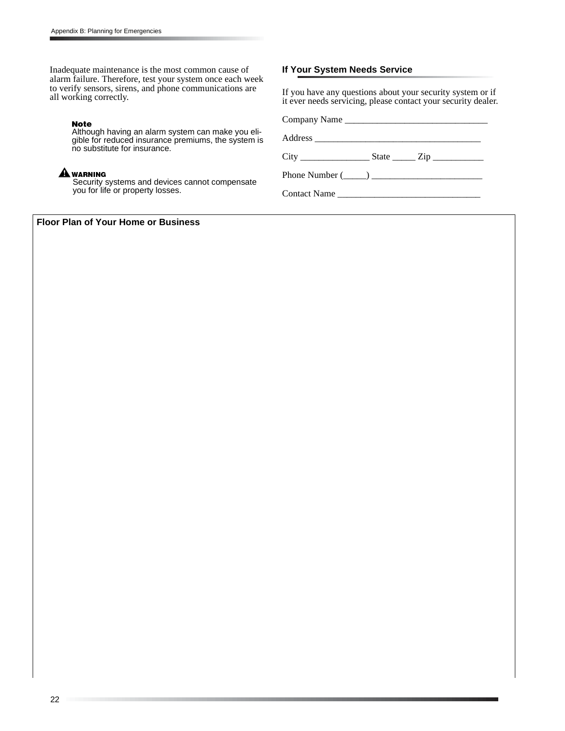Inadequate maintenance is the most common cause of alarm failure. Therefore, test your system once each week to verify sensors, sirens, and phone communications are all working correctly.

#### **Note**

Although having an alarm system can make you eligible for reduced insurance premiums, the system is no substitute for insurance.

#### $\blacktriangle$  warning

Security systems and devices cannot compensate you for life or property losses.

#### **If Your System Needs Service**

If you have any questions about your security system or if it ever needs servicing, please contact your security dealer.

Company Name \_\_\_\_\_\_\_\_\_\_\_\_\_\_\_\_\_\_\_\_\_\_\_\_\_\_\_\_\_\_\_

Address \_\_\_\_\_\_\_\_\_\_\_\_\_\_\_\_\_\_\_\_\_\_\_\_\_\_\_\_\_\_\_\_\_\_\_\_

City \_\_\_\_\_\_\_\_\_\_\_\_\_\_\_ State \_\_\_\_\_ Zip \_\_\_\_\_\_\_\_\_\_\_

Phone Number  $(\_\_)$ 

Contact Name \_\_\_\_\_\_\_\_\_\_\_\_\_\_\_\_\_\_\_\_\_\_\_\_\_\_\_\_\_\_\_

**Floor Plan of Your Home or Business**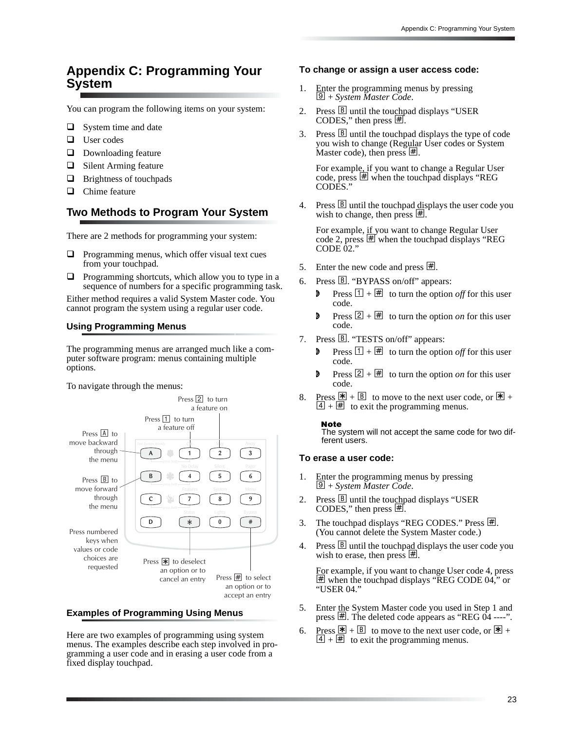## **Appendix C: Programming Your System**

You can program the following items on your system:

- $\Box$  System time and date
- □ User codes
- $\Box$  Downloading feature
- $\Box$  Silent Arming feature
- **Brightness of touchpads**
- $\Box$  Chime feature

### **Two Methods to Program Your System**

There are 2 methods for programming your system:

- $\Box$  Programming menus, which offer visual text cues from your touchpad.
- $\Box$  Programming shortcuts, which allow you to type in a sequence of numbers for a specific programming task.

Either method requires a valid System Master code. You cannot program the system using a regular user code.

#### **Using Programming Menus**

The programming menus are arranged much like a computer software program: menus containing multiple options.

To navigate through the menus:



#### **Examples of Programming Using Menus**

Here are two examples of programming using system menus. The examples describe each step involved in programming a user code and in erasing a user code from a fixed display touchpad.

#### **To change or assign a user access code:**

- 1. Enter the programming menus by pressing  $\boxed{\mathcal{Q}}$  + *System Master Code*.
- 2. Press  $\boxed{B}$  until the touchpad displays "USER CODES," then press  $\overline{\text{H}}$ .
- 3. Press  $\boxed{B}$  until the touchpad displays the type of code you wish to change (Regular User codes or System Master code), then press  $\mathbb{H}$ .

For example, if you want to change a Regular User code, press  $#$  when the touchpad displays "REG COD<sub>E</sub>S.'

4. Press  $\boxed{B}$  until the touchpad displays the user code you wish to change, then press  $\overline{\mathbb{H}}$ .

For example, if you want to change Regular User code 2, press  $\overline{\text{H}}$  when the touchpad displays "REG CODE  $02$ .

- 5. Enter the new code and press  $\vert \# \vert$ .
- 6. Press B. "BYPASS on/off" appears:
	- **P** Press  $\boxed{1 + \mathbb{H}}$  to turn the option *off* for this user code.
	- **P** Press  $\boxed{2} + \boxed{H}$  to turn the option *on* for this user code.
- 7. Press B. "TESTS on/off" appears:
	- **P** Press  $\boxed{1 + \boxed{H}}$  to turn the option *off* for this user code.
	- **P** Press  $\boxed{2} + \boxed{H}$  to turn the option *on* for this user code.
- 8. Press  $\mathbb{F} + \mathbb{B}$  to move to the next user code, or  $\mathbb{F} +$  $[4] + \n\overline{4}$  to exit the programming menus.

**Note** 

The system will not accept the same code for two different users.

#### **To erase a user code:**

- 1. Enter the programming menus by pressing 9 + *System Master Code*.
- 2. Press **B** until the touchpad displays "USER CODES," then press  $\sharp$ .
- 3. The touchpad displays "REG CODES." Press  $\#$ . (You cannot delete the System Master code.)
- 4. Press  $\mathbb{B}$  until the touch paddis plays the user code you wish to erase, then press  $\vert \underline{\#} \vert$ .

For example, if you want to change User code 4, press ƒ when the touchpad displays "REG CODE 04," or "USER 04."

- 5. Enter the System Master code you used in Step 1 and press  $\#$ . The deleted code appears as "REG  $\overline{04}$  ----".
- 6. Press  $\mathbb{E} + \mathbb{B}$  to move to the next user code, or  $\mathbb{E} +$  $\frac{44}{4} + \frac{44}{10}$  to exit the programming menus.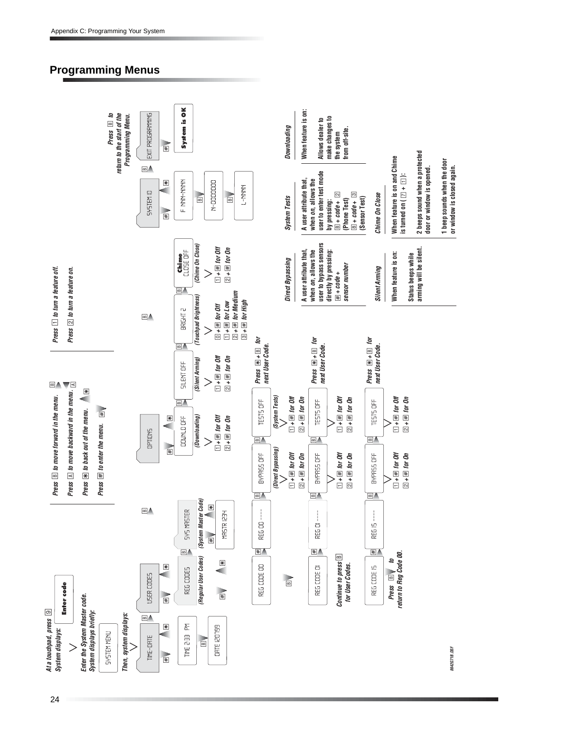## **Programming Menus**

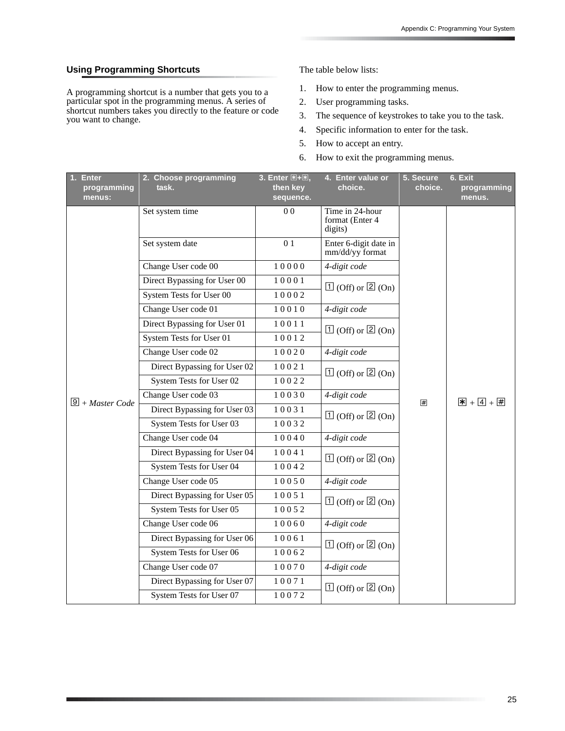#### **Using Programming Shortcuts**

A programming shortcut is a number that gets you to a particular spot in the programming menus. A series of shortcut numbers takes you directly to the feature or code you want to change.

The table below lists:

- 1. How to enter the programming menus.
- 2. User programming tasks.
- 3. The sequence of keystrokes to take you to the task.
- 4. Specific information to enter for the task.
- 5. How to accept an entry.
- 6. How to exit the programming menus.

| <b>Enter</b><br>programming<br>menus: | 2. Choose programming<br>task. | 3. Enter $\mathbb{H} + \mathbb{H}$ ,<br>then key<br>sequence. | 4. Enter value or<br>choice.                  | 5. Secure<br>choice. | 6. Exit<br>programming<br>menus. |
|---------------------------------------|--------------------------------|---------------------------------------------------------------|-----------------------------------------------|----------------------|----------------------------------|
|                                       | Set system time                | 0 <sub>0</sub>                                                | Time in 24-hour<br>format (Enter 4<br>digits) |                      |                                  |
|                                       | Set system date                | 01                                                            | Enter 6-digit date in<br>mm/dd/yy format      |                      |                                  |
|                                       | Change User code 00            | 10000                                                         | 4-digit code                                  |                      |                                  |
|                                       | Direct Bypassing for User 00   | 10001                                                         | $\boxed{1}$ (Off) or $\boxed{2}$ (On)         |                      |                                  |
|                                       | System Tests for User 00       | 10002                                                         |                                               |                      |                                  |
|                                       | Change User code 01            | 10010                                                         | 4-digit code                                  |                      |                                  |
|                                       | Direct Bypassing for User 01   | 10011                                                         | $\boxed{1}$ (Off) or $\boxed{2}$ (On)         |                      | $\mathbf{X} + 4 + 4$             |
|                                       | System Tests for User 01       | 10012                                                         |                                               |                      |                                  |
|                                       | Change User code 02            | 10020                                                         | 4-digit code                                  | [#]                  |                                  |
|                                       | Direct Bypassing for User 02   | 10021                                                         | $\boxed{1}$ (Off) or $\boxed{2}$ (On)         |                      |                                  |
|                                       | System Tests for User 02       | 10022                                                         |                                               |                      |                                  |
| $\boxed{9}$ + Master Code             | Change User code 03            | 10030                                                         | 4-digit code                                  |                      |                                  |
|                                       | Direct Bypassing for User 03   | 10031                                                         | $\boxed{1}$ (Off) or $\boxed{2}$ (On)         |                      |                                  |
|                                       | System Tests for User 03       | 10032                                                         |                                               |                      |                                  |
|                                       | Change User code 04            | 10040                                                         | 4-digit code                                  |                      |                                  |
|                                       | Direct Bypassing for User 04   | 10041                                                         | $\boxed{1}$ (Off) or $\boxed{2}$ (On)         |                      |                                  |
|                                       | System Tests for User 04       | 10042                                                         |                                               |                      |                                  |
|                                       | Change User code 05            | 10050                                                         | 4-digit code                                  |                      |                                  |
|                                       | Direct Bypassing for User 05   | 10051                                                         | $\boxed{1}$ (Off) or $\boxed{2}$ (On)         |                      |                                  |
|                                       | System Tests for User 05       | 10052                                                         |                                               |                      |                                  |
|                                       | Change User code 06            | 10060                                                         | 4-digit code                                  |                      |                                  |
|                                       | Direct Bypassing for User 06   | 10061                                                         | $\boxed{1}$ (Off) or $\boxed{2}$ (On)         |                      |                                  |
|                                       | System Tests for User 06       | 10062                                                         |                                               |                      |                                  |
|                                       | Change User code 07            | 10070                                                         | 4-digit code                                  |                      |                                  |
|                                       | Direct Bypassing for User 07   | 10071                                                         | $\boxed{1}$ (Off) or $\boxed{2}$ (On)         |                      |                                  |
|                                       | System Tests for User 07       | 10072                                                         |                                               |                      |                                  |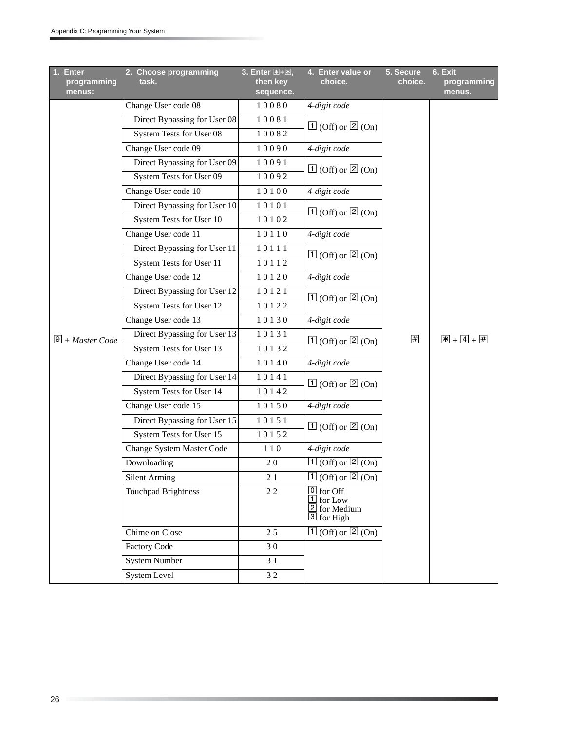| <b>Enter</b><br>1.<br>programming<br>menus: | 2. Choose programming<br>task. | 3. Enter $\mathbb{E} + \mathbb{E}$ ,<br>then key<br>sequence. | 4. Enter value or<br>choice.                                                       | 5. Secure<br>choice. | 6. Exit<br>programming<br>menus. |
|---------------------------------------------|--------------------------------|---------------------------------------------------------------|------------------------------------------------------------------------------------|----------------------|----------------------------------|
|                                             | Change User code 08            | 10080                                                         | 4-digit code                                                                       |                      |                                  |
|                                             | Direct Bypassing for User 08   | 10081                                                         | $\boxed{1}$ (Off) or $\boxed{2}$ (On)                                              |                      |                                  |
|                                             | System Tests for User 08       | 10082                                                         |                                                                                    |                      |                                  |
|                                             | Change User code 09            | 10090                                                         | 4-digit code                                                                       |                      |                                  |
|                                             | Direct Bypassing for User 09   | 10091                                                         | $\boxed{1}$ (Off) or $\boxed{2}$ (On)                                              |                      |                                  |
|                                             | System Tests for User 09       | 10092                                                         |                                                                                    |                      |                                  |
|                                             | Change User code 10            | 10100                                                         | 4-digit code                                                                       |                      |                                  |
|                                             | Direct Bypassing for User 10   | 10101                                                         | $\boxed{1}$ (Off) or $\boxed{2}$ (On)                                              |                      |                                  |
|                                             | System Tests for User 10       | 10102                                                         |                                                                                    |                      |                                  |
|                                             | Change User code 11            | 10110                                                         | 4-digit code                                                                       |                      |                                  |
|                                             | Direct Bypassing for User 11   | 10111                                                         | $\boxed{1}$ (Off) or $\boxed{2}$ (On)                                              |                      |                                  |
|                                             | System Tests for User 11       | 10112                                                         |                                                                                    |                      |                                  |
|                                             | Change User code 12            | 10120                                                         | 4-digit code                                                                       |                      |                                  |
|                                             | Direct Bypassing for User 12   | 10121                                                         | $\boxed{1}$ (Off) or $\boxed{2}$ (On)                                              |                      | $\mathbb{F} + 4 + 4$             |
|                                             | System Tests for User 12       | 10122                                                         |                                                                                    |                      |                                  |
|                                             | Change User code 13            | 10130                                                         | 4-digit code                                                                       | #                    |                                  |
| $9 + Master Code$                           | Direct Bypassing for User 13   | 10131                                                         | $\boxed{1}$ (Off) or $\boxed{2}$ (On)                                              |                      |                                  |
|                                             | System Tests for User 13       | 10132                                                         |                                                                                    |                      |                                  |
|                                             | Change User code 14            | 10140                                                         | 4-digit code                                                                       |                      |                                  |
|                                             | Direct Bypassing for User 14   | 10141                                                         | $\boxed{1}$ (Off) or $\boxed{2}$ (On)                                              |                      |                                  |
|                                             | System Tests for User 14       | 10142                                                         |                                                                                    |                      |                                  |
|                                             | Change User code 15            | 10150                                                         | 4-digit code                                                                       |                      |                                  |
|                                             | Direct Bypassing for User 15   | 10151                                                         | $\boxed{1}$ (Off) or $\boxed{2}$ (On)                                              |                      |                                  |
|                                             | System Tests for User 15       | 10152                                                         |                                                                                    |                      |                                  |
|                                             | Change System Master Code      | 110                                                           | 4-digit code                                                                       |                      |                                  |
|                                             | Downloading                    | 20                                                            | $\boxed{1}$ (Off) or $\boxed{2}$ (On)                                              |                      |                                  |
|                                             | <b>Silent Arming</b>           | 21                                                            | $\boxed{1}$ (Off) or $\boxed{2}$ (On)                                              |                      |                                  |
|                                             | <b>Touchpad Brightness</b>     | 22                                                            | $\boxed{0}$ for Off<br>$\boxed{1}$ for Low<br>$\boxed{2}$ for Medium<br>3 for High |                      |                                  |
|                                             | Chime on Close                 | 25                                                            | $\boxed{1}$ (Off) or $\boxed{2}$ (On)                                              |                      |                                  |
|                                             | <b>Factory Code</b>            | 30                                                            |                                                                                    |                      |                                  |
|                                             | <b>System Number</b>           | 3 1                                                           |                                                                                    |                      |                                  |
|                                             | <b>System Level</b>            | 32                                                            |                                                                                    |                      |                                  |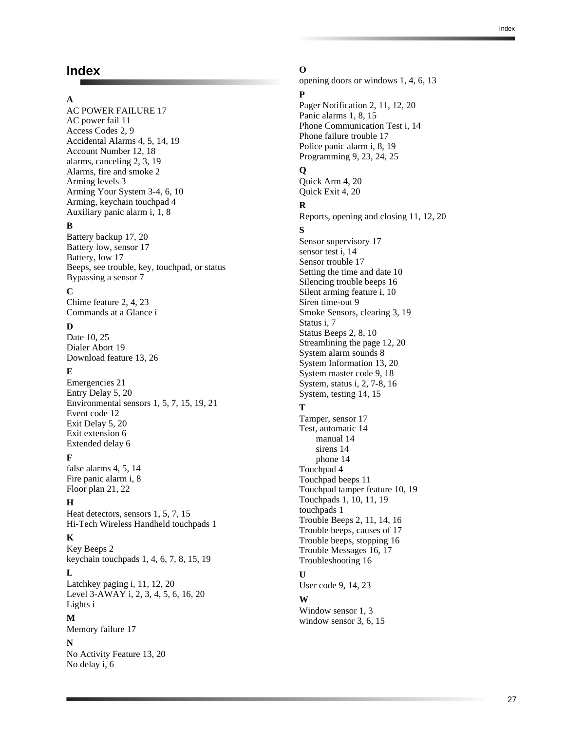## **Index**

#### **A**

AC POWER FAILURE 17 AC power fail 11 Access Codes 2, 9 Accidental Alarms 4, 5, 14, 19 Account Number 12, 18 alarms, canceling 2, 3, 19 Alarms, fire and smoke 2 Arming levels 3 Arming Your System 3-4, 6, 10 Arming, keychain touchpad 4 Auxiliary panic alarm i, 1, 8

#### **B**

Battery backup 17, 20 Battery low, sensor 17 Battery, low 17 Beeps, see trouble, key, touchpad, or status Bypassing a sensor 7

#### **C**

Chime feature 2, 4, 23 Commands at a Glance i

#### **D**

Date 10, 25 Dialer Abort 19 Download feature 13, 26

#### **E**

Emergencies 21 Entry Delay 5, 20 Environmental sensors 1, 5, 7, 15, 19, 21 Event code 12 Exit Delay 5, 20 Exit extension 6 Extended delay 6

#### **F**

false alarms 4, 5, 14 Fire panic alarm i, 8 Floor plan 21, 22

#### **H**

Heat detectors, sensors 1, 5, 7, 15 Hi-Tech Wireless Handheld touchpads 1

#### **K**

Key Beeps 2 keychain touchpads 1, 4, 6, 7, 8, 15, 19

**L** Latchkey paging i, 11, 12, 20 Level 3-AWAY i, 2, 3, 4, 5, 6, 16, 20 Lights i

#### **M**

Memory failure 17

#### **N**

No Activity Feature 13, 20 No delay i, 6

**O** opening doors or windows 1, 4, 6, 13 **P** Pager Notification 2, 11, 12, 20 Panic alarms 1, 8, 15 Phone Communication Test i, 14 Phone failure trouble 17 Police panic alarm i, 8, 19 Programming 9, 23, 24, 25 **Q** Quick Arm 4, 20 Quick Exit 4, 20 **R** Reports, opening and closing 11, 12, 20 **S** Sensor supervisory 17 sensor test i, 14 Sensor trouble 17 Setting the time and date 10 Silencing trouble beeps 16 Silent arming feature i, 10 Siren time-out 9 Smoke Sensors, clearing 3, 19 Status i, 7 Status Beeps 2, 8, 10 Streamlining the page 12, 20 System alarm sounds 8 System Information 13, 20 System master code 9, 18 System, status i, 2, 7-8, 16 System, testing 14, 15 **T** Tamper, sensor 17 Test, automatic 14 manual 14 sirens 14 phone 14 Touchpad 4 Touchpad beeps 11 Touchpad tamper feature 10, 19 Touchpads 1, 10, 11, 19 touchpads 1 Trouble Beeps 2, 11, 14, 16 Trouble beeps, causes of 17 Trouble beeps, stopping 16 Trouble Messages 16, 17 Troubleshooting 16 **U** User code 9, 14, 23 **W**

Window sensor 1, 3 window sensor 3, 6, 15